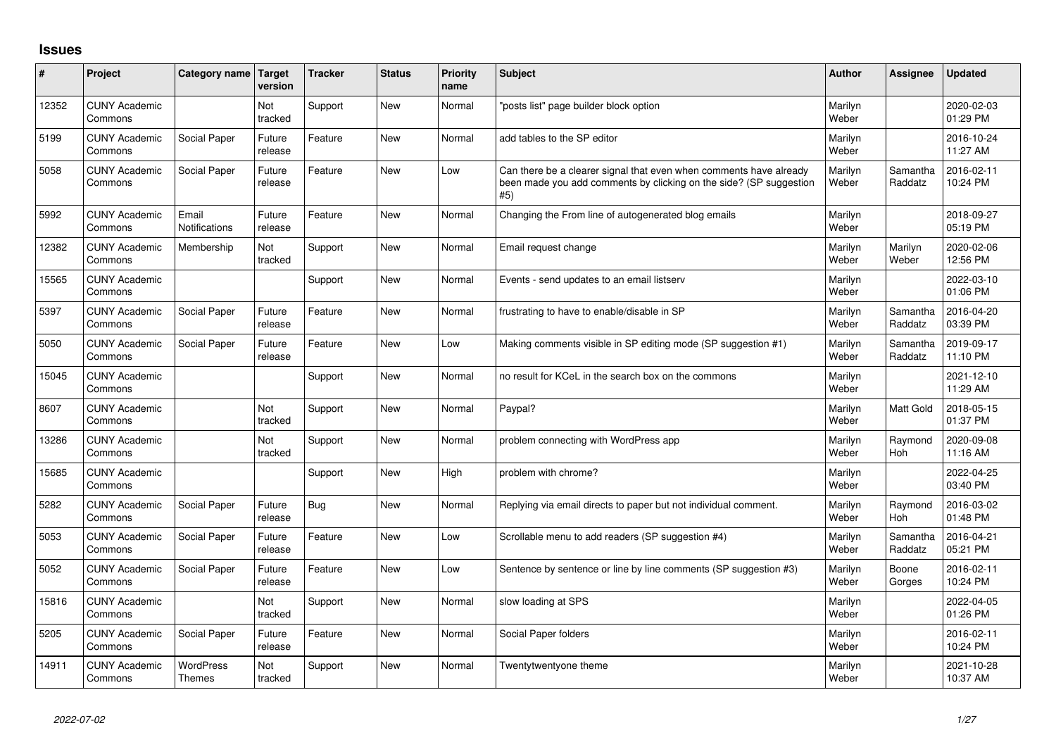## **Issues**

| #     | Project                         | Category name                     | <b>Target</b><br>version | <b>Tracker</b> | <b>Status</b> | <b>Priority</b><br>name | <b>Subject</b>                                                                                                                                  | <b>Author</b>    | Assignee              | <b>Updated</b>         |
|-------|---------------------------------|-----------------------------------|--------------------------|----------------|---------------|-------------------------|-------------------------------------------------------------------------------------------------------------------------------------------------|------------------|-----------------------|------------------------|
| 12352 | <b>CUNY Academic</b><br>Commons |                                   | Not<br>tracked           | Support        | <b>New</b>    | Normal                  | 'posts list" page builder block option                                                                                                          | Marilyn<br>Weber |                       | 2020-02-03<br>01:29 PM |
| 5199  | <b>CUNY Academic</b><br>Commons | Social Paper                      | Future<br>release        | Feature        | <b>New</b>    | Normal                  | add tables to the SP editor                                                                                                                     | Marilyn<br>Weber |                       | 2016-10-24<br>11:27 AM |
| 5058  | <b>CUNY Academic</b><br>Commons | Social Paper                      | Future<br>release        | Feature        | <b>New</b>    | Low                     | Can there be a clearer signal that even when comments have already<br>been made you add comments by clicking on the side? (SP suggestion<br>#5) | Marilyn<br>Weber | Samantha<br>Raddatz   | 2016-02-11<br>10:24 PM |
| 5992  | <b>CUNY Academic</b><br>Commons | Email<br><b>Notifications</b>     | Future<br>release        | Feature        | <b>New</b>    | Normal                  | Changing the From line of autogenerated blog emails                                                                                             | Marilyn<br>Weber |                       | 2018-09-27<br>05:19 PM |
| 12382 | <b>CUNY Academic</b><br>Commons | Membership                        | Not<br>tracked           | Support        | <b>New</b>    | Normal                  | Email request change                                                                                                                            | Marilyn<br>Weber | Marilyn<br>Weber      | 2020-02-06<br>12:56 PM |
| 15565 | <b>CUNY Academic</b><br>Commons |                                   |                          | Support        | <b>New</b>    | Normal                  | Events - send updates to an email listserv                                                                                                      | Marilyn<br>Weber |                       | 2022-03-10<br>01:06 PM |
| 5397  | <b>CUNY Academic</b><br>Commons | Social Paper                      | Future<br>release        | Feature        | <b>New</b>    | Normal                  | frustrating to have to enable/disable in SP                                                                                                     | Marilyn<br>Weber | Samantha<br>Raddatz   | 2016-04-20<br>03:39 PM |
| 5050  | <b>CUNY Academic</b><br>Commons | Social Paper                      | Future<br>release        | Feature        | <b>New</b>    | Low                     | Making comments visible in SP editing mode (SP suggestion #1)                                                                                   | Marilyn<br>Weber | Samantha<br>Raddatz   | 2019-09-17<br>11:10 PM |
| 15045 | <b>CUNY Academic</b><br>Commons |                                   |                          | Support        | <b>New</b>    | Normal                  | no result for KCeL in the search box on the commons                                                                                             | Marilyn<br>Weber |                       | 2021-12-10<br>11:29 AM |
| 8607  | <b>CUNY Academic</b><br>Commons |                                   | Not<br>tracked           | Support        | <b>New</b>    | Normal                  | Paypal?                                                                                                                                         | Marilyn<br>Weber | <b>Matt Gold</b>      | 2018-05-15<br>01:37 PM |
| 13286 | <b>CUNY Academic</b><br>Commons |                                   | Not<br>tracked           | Support        | <b>New</b>    | Normal                  | problem connecting with WordPress app                                                                                                           | Marilyn<br>Weber | Raymond<br>Hoh        | 2020-09-08<br>11:16 AM |
| 15685 | <b>CUNY Academic</b><br>Commons |                                   |                          | Support        | <b>New</b>    | High                    | problem with chrome?                                                                                                                            | Marilyn<br>Weber |                       | 2022-04-25<br>03:40 PM |
| 5282  | <b>CUNY Academic</b><br>Commons | Social Paper                      | Future<br>release        | <b>Bug</b>     | <b>New</b>    | Normal                  | Replying via email directs to paper but not individual comment.                                                                                 | Marilyn<br>Weber | Raymond<br><b>Hoh</b> | 2016-03-02<br>01:48 PM |
| 5053  | <b>CUNY Academic</b><br>Commons | Social Paper                      | Future<br>release        | Feature        | <b>New</b>    | Low                     | Scrollable menu to add readers (SP suggestion #4)                                                                                               | Marilyn<br>Weber | Samantha<br>Raddatz   | 2016-04-21<br>05:21 PM |
| 5052  | <b>CUNY Academic</b><br>Commons | Social Paper                      | Future<br>release        | Feature        | <b>New</b>    | Low                     | Sentence by sentence or line by line comments (SP suggestion #3)                                                                                | Marilyn<br>Weber | Boone<br>Gorges       | 2016-02-11<br>10:24 PM |
| 15816 | <b>CUNY Academic</b><br>Commons |                                   | Not<br>tracked           | Support        | <b>New</b>    | Normal                  | slow loading at SPS                                                                                                                             | Marilyn<br>Weber |                       | 2022-04-05<br>01:26 PM |
| 5205  | <b>CUNY Academic</b><br>Commons | Social Paper                      | Future<br>release        | Feature        | <b>New</b>    | Normal                  | Social Paper folders                                                                                                                            | Marilyn<br>Weber |                       | 2016-02-11<br>10:24 PM |
| 14911 | <b>CUNY Academic</b><br>Commons | <b>WordPress</b><br><b>Themes</b> | Not<br>tracked           | Support        | <b>New</b>    | Normal                  | Twentytwentyone theme                                                                                                                           | Marilyn<br>Weber |                       | 2021-10-28<br>10:37 AM |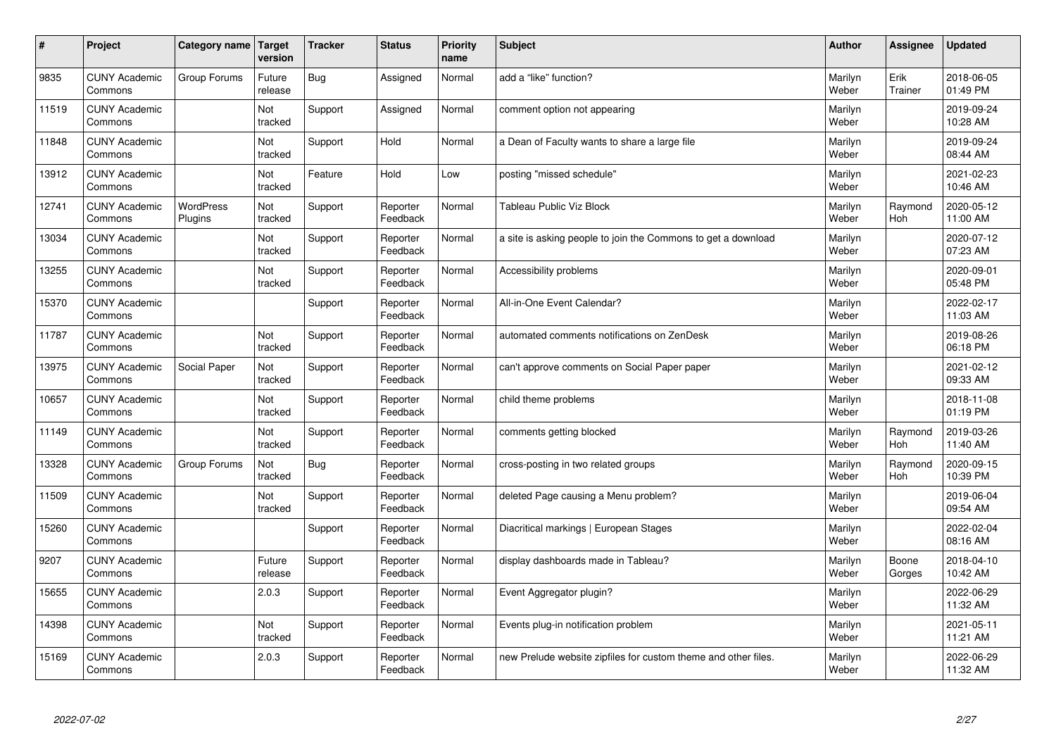| #     | Project                         | Category name               | <b>Target</b><br>version | <b>Tracker</b> | <b>Status</b>        | <b>Priority</b><br>name | <b>Subject</b>                                                 | <b>Author</b>    | Assignee        | <b>Updated</b>         |
|-------|---------------------------------|-----------------------------|--------------------------|----------------|----------------------|-------------------------|----------------------------------------------------------------|------------------|-----------------|------------------------|
| 9835  | <b>CUNY Academic</b><br>Commons | Group Forums                | Future<br>release        | Bug            | Assigned             | Normal                  | add a "like" function?                                         | Marilyn<br>Weber | Erik<br>Trainer | 2018-06-05<br>01:49 PM |
| 11519 | <b>CUNY Academic</b><br>Commons |                             | Not<br>tracked           | Support        | Assigned             | Normal                  | comment option not appearing                                   | Marilyn<br>Weber |                 | 2019-09-24<br>10:28 AM |
| 11848 | <b>CUNY Academic</b><br>Commons |                             | Not<br>tracked           | Support        | Hold                 | Normal                  | a Dean of Faculty wants to share a large file                  | Marilyn<br>Weber |                 | 2019-09-24<br>08:44 AM |
| 13912 | <b>CUNY Academic</b><br>Commons |                             | Not<br>tracked           | Feature        | Hold                 | Low                     | posting "missed schedule"                                      | Marilyn<br>Weber |                 | 2021-02-23<br>10:46 AM |
| 12741 | <b>CUNY Academic</b><br>Commons | <b>WordPress</b><br>Plugins | Not<br>tracked           | Support        | Reporter<br>Feedback | Normal                  | <b>Tableau Public Viz Block</b>                                | Marilyn<br>Weber | Raymond<br>Hoh  | 2020-05-12<br>11:00 AM |
| 13034 | <b>CUNY Academic</b><br>Commons |                             | Not<br>tracked           | Support        | Reporter<br>Feedback | Normal                  | a site is asking people to join the Commons to get a download  | Marilyn<br>Weber |                 | 2020-07-12<br>07:23 AM |
| 13255 | <b>CUNY Academic</b><br>Commons |                             | Not<br>tracked           | Support        | Reporter<br>Feedback | Normal                  | Accessibility problems                                         | Marilyn<br>Weber |                 | 2020-09-01<br>05:48 PM |
| 15370 | <b>CUNY Academic</b><br>Commons |                             |                          | Support        | Reporter<br>Feedback | Normal                  | All-in-One Event Calendar?                                     | Marilyn<br>Weber |                 | 2022-02-17<br>11:03 AM |
| 11787 | <b>CUNY Academic</b><br>Commons |                             | Not<br>tracked           | Support        | Reporter<br>Feedback | Normal                  | automated comments notifications on ZenDesk                    | Marilyn<br>Weber |                 | 2019-08-26<br>06:18 PM |
| 13975 | <b>CUNY Academic</b><br>Commons | Social Paper                | Not<br>tracked           | Support        | Reporter<br>Feedback | Normal                  | can't approve comments on Social Paper paper                   | Marilyn<br>Weber |                 | 2021-02-12<br>09:33 AM |
| 10657 | <b>CUNY Academic</b><br>Commons |                             | Not<br>tracked           | Support        | Reporter<br>Feedback | Normal                  | child theme problems                                           | Marilyn<br>Weber |                 | 2018-11-08<br>01:19 PM |
| 11149 | <b>CUNY Academic</b><br>Commons |                             | Not<br>tracked           | Support        | Reporter<br>Feedback | Normal                  | comments getting blocked                                       | Marilyn<br>Weber | Raymond<br>Hoh  | 2019-03-26<br>11:40 AM |
| 13328 | <b>CUNY Academic</b><br>Commons | Group Forums                | Not<br>tracked           | Bug            | Reporter<br>Feedback | Normal                  | cross-posting in two related groups                            | Marilyn<br>Weber | Raymond<br>Hoh  | 2020-09-15<br>10:39 PM |
| 11509 | <b>CUNY Academic</b><br>Commons |                             | Not<br>tracked           | Support        | Reporter<br>Feedback | Normal                  | deleted Page causing a Menu problem?                           | Marilyn<br>Weber |                 | 2019-06-04<br>09:54 AM |
| 15260 | <b>CUNY Academic</b><br>Commons |                             |                          | Support        | Reporter<br>Feedback | Normal                  | Diacritical markings   European Stages                         | Marilyn<br>Weber |                 | 2022-02-04<br>08:16 AM |
| 9207  | <b>CUNY Academic</b><br>Commons |                             | Future<br>release        | Support        | Reporter<br>Feedback | Normal                  | display dashboards made in Tableau?                            | Marilyn<br>Weber | Boone<br>Gorges | 2018-04-10<br>10:42 AM |
| 15655 | <b>CUNY Academic</b><br>Commons |                             | 2.0.3                    | Support        | Reporter<br>Feedback | Normal                  | Event Aggregator plugin?                                       | Marilyn<br>Weber |                 | 2022-06-29<br>11:32 AM |
| 14398 | <b>CUNY Academic</b><br>Commons |                             | Not<br>tracked           | Support        | Reporter<br>Feedback | Normal                  | Events plug-in notification problem                            | Marilyn<br>Weber |                 | 2021-05-11<br>11:21 AM |
| 15169 | <b>CUNY Academic</b><br>Commons |                             | 2.0.3                    | Support        | Reporter<br>Feedback | Normal                  | new Prelude website zipfiles for custom theme and other files. | Marilyn<br>Weber |                 | 2022-06-29<br>11:32 AM |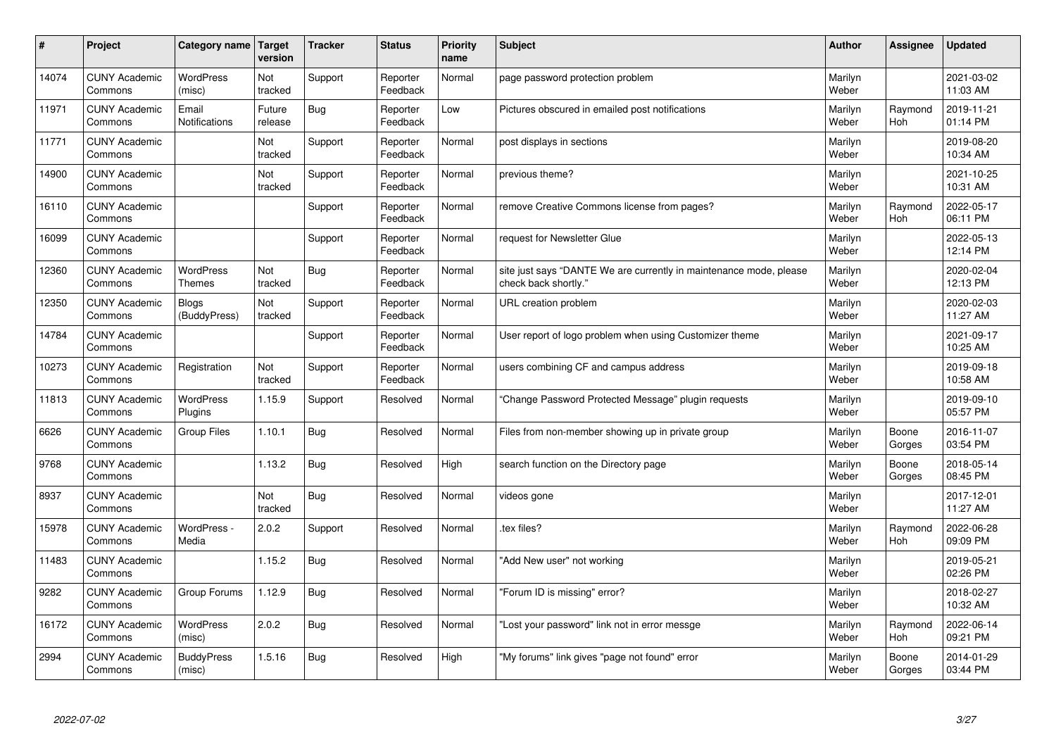| #     | Project                         | Category name   Target            | version           | <b>Tracker</b> | <b>Status</b>        | <b>Priority</b><br>name | <b>Subject</b>                                                                             | <b>Author</b>    | <b>Assignee</b>       | <b>Updated</b>         |
|-------|---------------------------------|-----------------------------------|-------------------|----------------|----------------------|-------------------------|--------------------------------------------------------------------------------------------|------------------|-----------------------|------------------------|
| 14074 | <b>CUNY Academic</b><br>Commons | WordPress<br>(misc)               | Not<br>tracked    | Support        | Reporter<br>Feedback | Normal                  | page password protection problem                                                           | Marilyn<br>Weber |                       | 2021-03-02<br>11:03 AM |
| 11971 | <b>CUNY Academic</b><br>Commons | Email<br>Notifications            | Future<br>release | Bug            | Reporter<br>Feedback | Low                     | Pictures obscured in emailed post notifications                                            | Marilyn<br>Weber | Raymond<br>Hoh        | 2019-11-21<br>01:14 PM |
| 11771 | <b>CUNY Academic</b><br>Commons |                                   | Not<br>tracked    | Support        | Reporter<br>Feedback | Normal                  | post displays in sections                                                                  | Marilyn<br>Weber |                       | 2019-08-20<br>10:34 AM |
| 14900 | <b>CUNY Academic</b><br>Commons |                                   | Not<br>tracked    | Support        | Reporter<br>Feedback | Normal                  | previous theme?                                                                            | Marilyn<br>Weber |                       | 2021-10-25<br>10:31 AM |
| 16110 | <b>CUNY Academic</b><br>Commons |                                   |                   | Support        | Reporter<br>Feedback | Normal                  | remove Creative Commons license from pages?                                                | Marilyn<br>Weber | Raymond<br><b>Hoh</b> | 2022-05-17<br>06:11 PM |
| 16099 | <b>CUNY Academic</b><br>Commons |                                   |                   | Support        | Reporter<br>Feedback | Normal                  | request for Newsletter Glue                                                                | Marilyn<br>Weber |                       | 2022-05-13<br>12:14 PM |
| 12360 | <b>CUNY Academic</b><br>Commons | <b>WordPress</b><br><b>Themes</b> | Not<br>tracked    | <b>Bug</b>     | Reporter<br>Feedback | Normal                  | site just says "DANTE We are currently in maintenance mode, please<br>check back shortly." | Marilyn<br>Weber |                       | 2020-02-04<br>12:13 PM |
| 12350 | <b>CUNY Academic</b><br>Commons | Blogs<br>(BuddyPress)             | Not<br>tracked    | Support        | Reporter<br>Feedback | Normal                  | URL creation problem                                                                       | Marilyn<br>Weber |                       | 2020-02-03<br>11:27 AM |
| 14784 | <b>CUNY Academic</b><br>Commons |                                   |                   | Support        | Reporter<br>Feedback | Normal                  | User report of logo problem when using Customizer theme                                    | Marilyn<br>Weber |                       | 2021-09-17<br>10:25 AM |
| 10273 | <b>CUNY Academic</b><br>Commons | Registration                      | Not<br>tracked    | Support        | Reporter<br>Feedback | Normal                  | users combining CF and campus address                                                      | Marilyn<br>Weber |                       | 2019-09-18<br>10:58 AM |
| 11813 | <b>CUNY Academic</b><br>Commons | <b>WordPress</b><br>Plugins       | 1.15.9            | Support        | Resolved             | Normal                  | Change Password Protected Message" plugin requests                                         | Marilyn<br>Weber |                       | 2019-09-10<br>05:57 PM |
| 6626  | <b>CUNY Academic</b><br>Commons | Group Files                       | 1.10.1            | Bug            | Resolved             | Normal                  | Files from non-member showing up in private group                                          | Marilyn<br>Weber | Boone<br>Gorges       | 2016-11-07<br>03:54 PM |
| 9768  | <b>CUNY Academic</b><br>Commons |                                   | 1.13.2            | Bug            | Resolved             | High                    | search function on the Directory page                                                      | Marilyn<br>Weber | Boone<br>Gorges       | 2018-05-14<br>08:45 PM |
| 8937  | <b>CUNY Academic</b><br>Commons |                                   | Not<br>tracked    | Bug            | Resolved             | Normal                  | videos gone                                                                                | Marilyn<br>Weber |                       | 2017-12-01<br>11:27 AM |
| 15978 | <b>CUNY Academic</b><br>Commons | WordPress -<br>Media              | 2.0.2             | Support        | Resolved             | Normal                  | tex files?                                                                                 | Marilyn<br>Weber | Raymond<br>Hoh        | 2022-06-28<br>09:09 PM |
| 11483 | <b>CUNY Academic</b><br>Commons |                                   | 1.15.2            | Bug            | Resolved             | Normal                  | 'Add New user" not working                                                                 | Marilyn<br>Weber |                       | 2019-05-21<br>02:26 PM |
| 9282  | <b>CUNY Academic</b><br>Commons | Group Forums                      | 1.12.9            | Bug            | Resolved             | Normal                  | 'Forum ID is missing" error?                                                               | Marilyn<br>Weber |                       | 2018-02-27<br>10:32 AM |
| 16172 | <b>CUNY Academic</b><br>Commons | <b>WordPress</b><br>(misc)        | 2.0.2             | Bug            | Resolved             | Normal                  | 'Lost your password" link not in error messge                                              | Marilyn<br>Weber | Raymond<br>Hoh        | 2022-06-14<br>09:21 PM |
| 2994  | <b>CUNY Academic</b><br>Commons | <b>BuddyPress</b><br>(misc)       | 1.5.16            | Bug            | Resolved             | High                    | "My forums" link gives "page not found" error                                              | Marilyn<br>Weber | Boone<br>Gorges       | 2014-01-29<br>03:44 PM |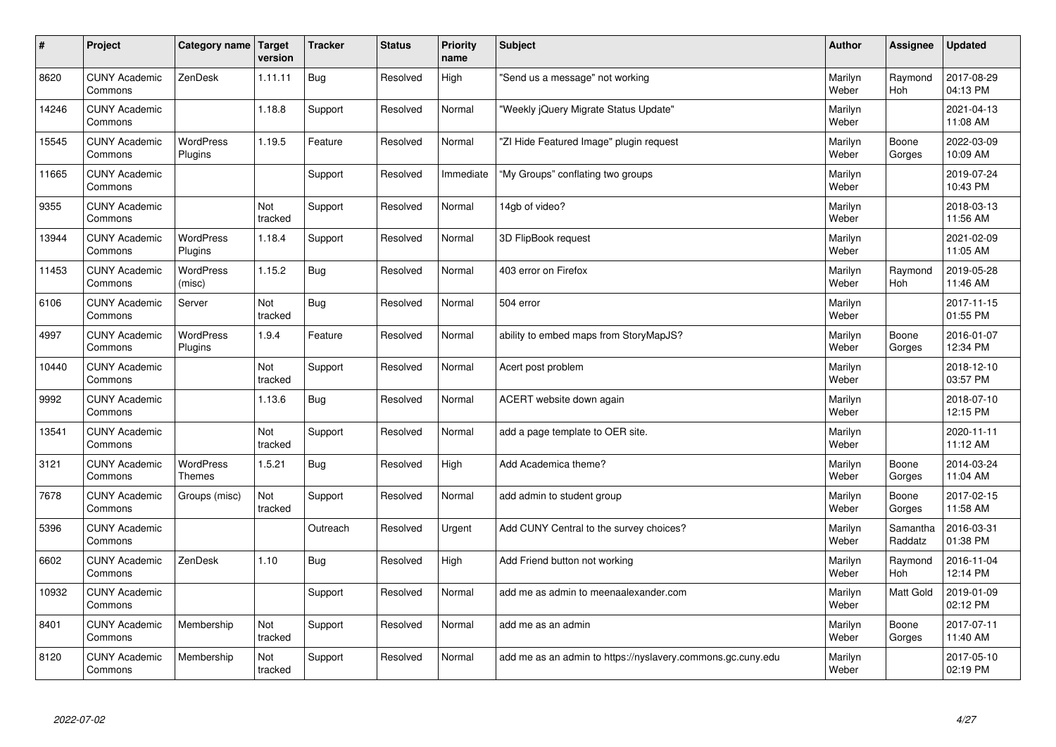| #     | Project                         | Category name   Target             | version        | <b>Tracker</b> | <b>Status</b> | <b>Priority</b><br>name | <b>Subject</b>                                              | <b>Author</b>    | Assignee              | <b>Updated</b>         |
|-------|---------------------------------|------------------------------------|----------------|----------------|---------------|-------------------------|-------------------------------------------------------------|------------------|-----------------------|------------------------|
| 8620  | <b>CUNY Academic</b><br>Commons | ZenDesk                            | 1.11.11        | Bug            | Resolved      | High                    | 'Send us a message" not working                             | Marilyn<br>Weber | Raymond<br><b>Hoh</b> | 2017-08-29<br>04:13 PM |
| 14246 | <b>CUNY Academic</b><br>Commons |                                    | 1.18.8         | Support        | Resolved      | Normal                  | 'Weekly jQuery Migrate Status Update"                       | Marilyn<br>Weber |                       | 2021-04-13<br>11:08 AM |
| 15545 | <b>CUNY Academic</b><br>Commons | <b>WordPress</b><br>Plugins        | 1.19.5         | Feature        | Resolved      | Normal                  | 'ZI Hide Featured Image" plugin request                     | Marilyn<br>Weber | Boone<br>Gorges       | 2022-03-09<br>10:09 AM |
| 11665 | <b>CUNY Academic</b><br>Commons |                                    |                | Support        | Resolved      | Immediate               | "My Groups" conflating two groups                           | Marilyn<br>Weber |                       | 2019-07-24<br>10:43 PM |
| 9355  | <b>CUNY Academic</b><br>Commons |                                    | Not<br>tracked | Support        | Resolved      | Normal                  | 14gb of video?                                              | Marilyn<br>Weber |                       | 2018-03-13<br>11:56 AM |
| 13944 | <b>CUNY Academic</b><br>Commons | <b>WordPress</b><br><b>Plugins</b> | 1.18.4         | Support        | Resolved      | Normal                  | 3D FlipBook request                                         | Marilyn<br>Weber |                       | 2021-02-09<br>11:05 AM |
| 11453 | <b>CUNY Academic</b><br>Commons | <b>WordPress</b><br>(misc)         | 1.15.2         | Bug            | Resolved      | Normal                  | 403 error on Firefox                                        | Marilyn<br>Weber | Raymond<br>Hoh        | 2019-05-28<br>11:46 AM |
| 6106  | <b>CUNY Academic</b><br>Commons | Server                             | Not<br>tracked | Bug            | Resolved      | Normal                  | 504 error                                                   | Marilyn<br>Weber |                       | 2017-11-15<br>01:55 PM |
| 4997  | <b>CUNY Academic</b><br>Commons | <b>WordPress</b><br>Plugins        | 1.9.4          | Feature        | Resolved      | Normal                  | ability to embed maps from StoryMapJS?                      | Marilyn<br>Weber | Boone<br>Gorges       | 2016-01-07<br>12:34 PM |
| 10440 | <b>CUNY Academic</b><br>Commons |                                    | Not<br>tracked | Support        | Resolved      | Normal                  | Acert post problem                                          | Marilyn<br>Weber |                       | 2018-12-10<br>03:57 PM |
| 9992  | <b>CUNY Academic</b><br>Commons |                                    | 1.13.6         | Bug            | Resolved      | Normal                  | ACERT website down again                                    | Marilyn<br>Weber |                       | 2018-07-10<br>12:15 PM |
| 13541 | <b>CUNY Academic</b><br>Commons |                                    | Not<br>tracked | Support        | Resolved      | Normal                  | add a page template to OER site.                            | Marilyn<br>Weber |                       | 2020-11-11<br>11:12 AM |
| 3121  | <b>CUNY Academic</b><br>Commons | <b>WordPress</b><br><b>Themes</b>  | 1.5.21         | Bug            | Resolved      | High                    | Add Academica theme?                                        | Marilyn<br>Weber | Boone<br>Gorges       | 2014-03-24<br>11:04 AM |
| 7678  | <b>CUNY Academic</b><br>Commons | Groups (misc)                      | Not<br>tracked | Support        | Resolved      | Normal                  | add admin to student group                                  | Marilyn<br>Weber | Boone<br>Gorges       | 2017-02-15<br>11:58 AM |
| 5396  | <b>CUNY Academic</b><br>Commons |                                    |                | Outreach       | Resolved      | Urgent                  | Add CUNY Central to the survey choices?                     | Marilyn<br>Weber | Samantha<br>Raddatz   | 2016-03-31<br>01:38 PM |
| 6602  | <b>CUNY Academic</b><br>Commons | ZenDesk                            | 1.10           | Bug            | Resolved      | High                    | Add Friend button not working                               | Marilyn<br>Weber | Raymond<br><b>Hoh</b> | 2016-11-04<br>12:14 PM |
| 10932 | <b>CUNY Academic</b><br>Commons |                                    |                | Support        | Resolved      | Normal                  | add me as admin to meenaalexander.com                       | Marilyn<br>Weber | <b>Matt Gold</b>      | 2019-01-09<br>02:12 PM |
| 8401  | <b>CUNY Academic</b><br>Commons | Membership                         | Not<br>tracked | Support        | Resolved      | Normal                  | add me as an admin                                          | Marilyn<br>Weber | Boone<br>Gorges       | 2017-07-11<br>11:40 AM |
| 8120  | <b>CUNY Academic</b><br>Commons | Membership                         | Not<br>tracked | Support        | Resolved      | Normal                  | add me as an admin to https://nyslavery.commons.gc.cuny.edu | Marilyn<br>Weber |                       | 2017-05-10<br>02:19 PM |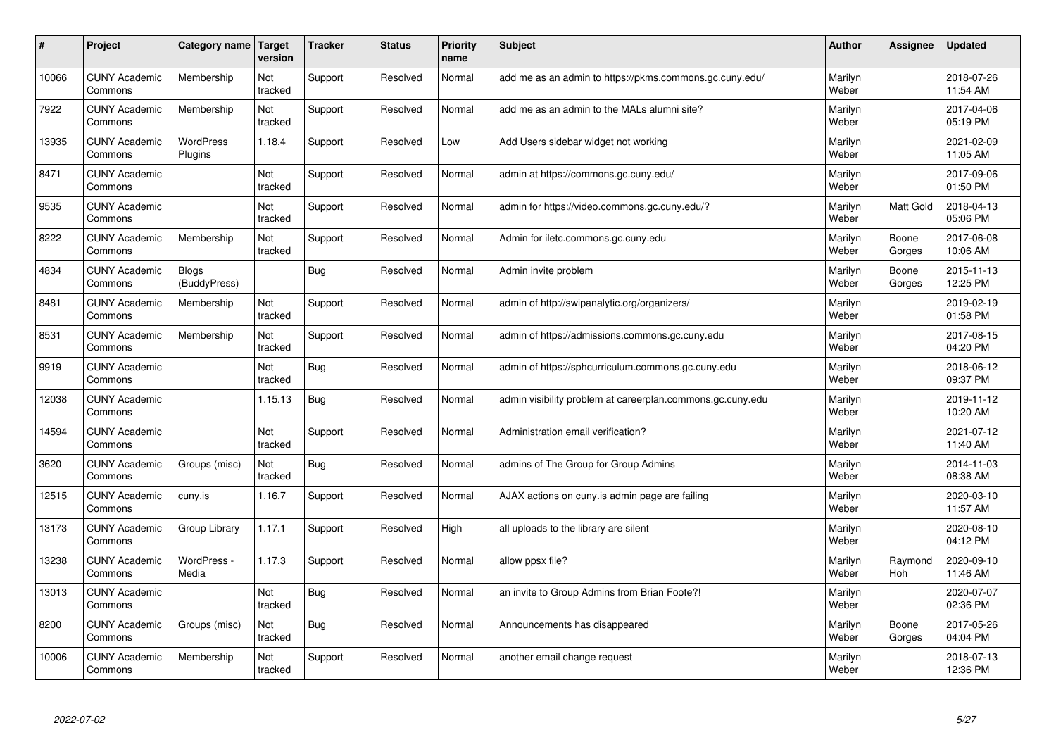| #     | Project                         | Category name   Target      | version        | <b>Tracker</b> | <b>Status</b> | Priority<br>name | <b>Subject</b>                                             | <b>Author</b>    | <b>Assignee</b>  | <b>Updated</b>         |
|-------|---------------------------------|-----------------------------|----------------|----------------|---------------|------------------|------------------------------------------------------------|------------------|------------------|------------------------|
| 10066 | <b>CUNY Academic</b><br>Commons | Membership                  | Not<br>tracked | Support        | Resolved      | Normal           | add me as an admin to https://pkms.commons.gc.cuny.edu/    | Marilyn<br>Weber |                  | 2018-07-26<br>11:54 AM |
| 7922  | <b>CUNY Academic</b><br>Commons | Membership                  | Not<br>tracked | Support        | Resolved      | Normal           | add me as an admin to the MALs alumni site?                | Marilyn<br>Weber |                  | 2017-04-06<br>05:19 PM |
| 13935 | <b>CUNY Academic</b><br>Commons | <b>WordPress</b><br>Plugins | 1.18.4         | Support        | Resolved      | Low              | Add Users sidebar widget not working                       | Marilyn<br>Weber |                  | 2021-02-09<br>11:05 AM |
| 8471  | <b>CUNY Academic</b><br>Commons |                             | Not<br>tracked | Support        | Resolved      | Normal           | admin at https://commons.gc.cuny.edu/                      | Marilyn<br>Weber |                  | 2017-09-06<br>01:50 PM |
| 9535  | <b>CUNY Academic</b><br>Commons |                             | Not<br>tracked | Support        | Resolved      | Normal           | admin for https://video.commons.gc.cuny.edu/?              | Marilyn<br>Weber | <b>Matt Gold</b> | 2018-04-13<br>05:06 PM |
| 8222  | <b>CUNY Academic</b><br>Commons | Membership                  | Not<br>tracked | Support        | Resolved      | Normal           | Admin for iletc.commons.gc.cuny.edu                        | Marilyn<br>Weber | Boone<br>Gorges  | 2017-06-08<br>10:06 AM |
| 4834  | <b>CUNY Academic</b><br>Commons | Blogs<br>(BuddyPress)       |                | Bug            | Resolved      | Normal           | Admin invite problem                                       | Marilyn<br>Weber | Boone<br>Gorges  | 2015-11-13<br>12:25 PM |
| 8481  | <b>CUNY Academic</b><br>Commons | Membership                  | Not<br>tracked | Support        | Resolved      | Normal           | admin of http://swipanalytic.org/organizers/               | Marilyn<br>Weber |                  | 2019-02-19<br>01:58 PM |
| 8531  | <b>CUNY Academic</b><br>Commons | Membership                  | Not<br>tracked | Support        | Resolved      | Normal           | admin of https://admissions.commons.gc.cuny.edu            | Marilyn<br>Weber |                  | 2017-08-15<br>04:20 PM |
| 9919  | <b>CUNY Academic</b><br>Commons |                             | Not<br>tracked | Bug            | Resolved      | Normal           | admin of https://sphcurriculum.commons.gc.cuny.edu         | Marilyn<br>Weber |                  | 2018-06-12<br>09:37 PM |
| 12038 | <b>CUNY Academic</b><br>Commons |                             | 1.15.13        | Bug            | Resolved      | Normal           | admin visibility problem at careerplan.commons.gc.cuny.edu | Marilyn<br>Weber |                  | 2019-11-12<br>10:20 AM |
| 14594 | <b>CUNY Academic</b><br>Commons |                             | Not<br>tracked | Support        | Resolved      | Normal           | Administration email verification?                         | Marilyn<br>Weber |                  | 2021-07-12<br>11:40 AM |
| 3620  | <b>CUNY Academic</b><br>Commons | Groups (misc)               | Not<br>tracked | Bug            | Resolved      | Normal           | admins of The Group for Group Admins                       | Marilyn<br>Weber |                  | 2014-11-03<br>08:38 AM |
| 12515 | <b>CUNY Academic</b><br>Commons | cuny.is                     | 1.16.7         | Support        | Resolved      | Normal           | AJAX actions on cuny.is admin page are failing             | Marilyn<br>Weber |                  | 2020-03-10<br>11:57 AM |
| 13173 | <b>CUNY Academic</b><br>Commons | Group Library               | 1.17.1         | Support        | Resolved      | High             | all uploads to the library are silent                      | Marilyn<br>Weber |                  | 2020-08-10<br>04:12 PM |
| 13238 | <b>CUNY Academic</b><br>Commons | WordPress -<br>Media        | 1.17.3         | Support        | Resolved      | Normal           | allow ppsx file?                                           | Marilyn<br>Weber | Raymond<br>Hoh   | 2020-09-10<br>11:46 AM |
| 13013 | <b>CUNY Academic</b><br>Commons |                             | Not<br>tracked | Bug            | Resolved      | Normal           | an invite to Group Admins from Brian Foote?!               | Marilyn<br>Weber |                  | 2020-07-07<br>02:36 PM |
| 8200  | <b>CUNY Academic</b><br>Commons | Groups (misc)               | Not<br>tracked | Bug            | Resolved      | Normal           | Announcements has disappeared                              | Marilyn<br>Weber | Boone<br>Gorges  | 2017-05-26<br>04:04 PM |
| 10006 | <b>CUNY Academic</b><br>Commons | Membership                  | Not<br>tracked | Support        | Resolved      | Normal           | another email change request                               | Marilyn<br>Weber |                  | 2018-07-13<br>12:36 PM |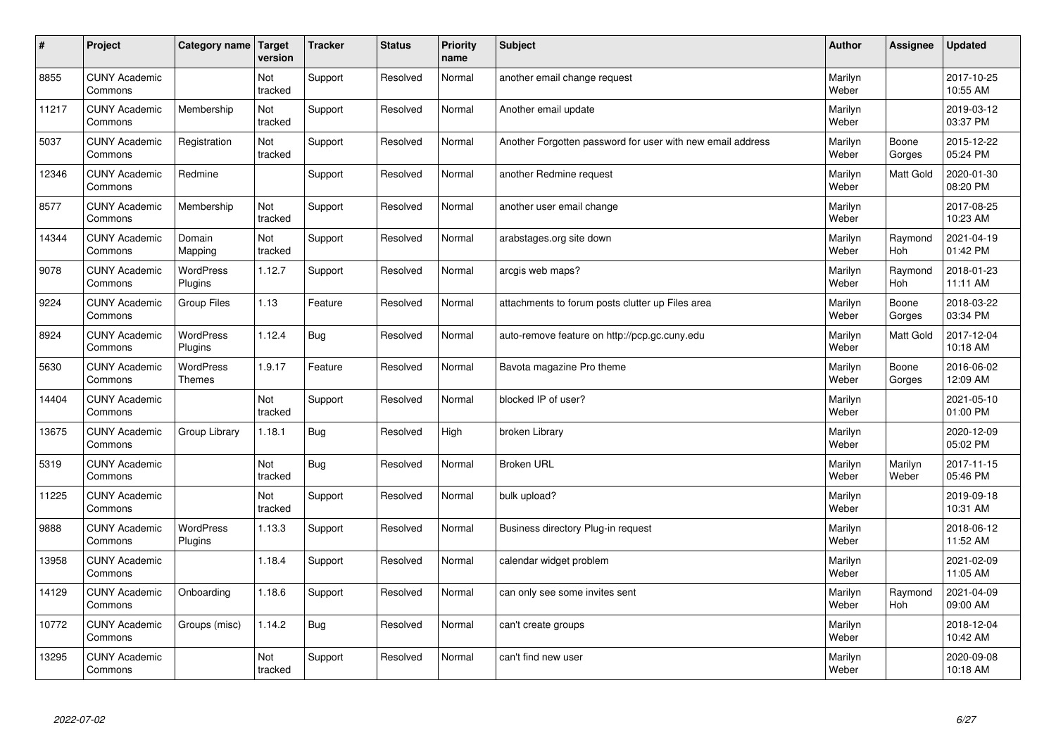| $\sharp$ | Project                         | Category name   Target            | version        | <b>Tracker</b> | <b>Status</b> | <b>Priority</b><br>name | <b>Subject</b>                                             | <b>Author</b>    | Assignee         | <b>Updated</b>         |
|----------|---------------------------------|-----------------------------------|----------------|----------------|---------------|-------------------------|------------------------------------------------------------|------------------|------------------|------------------------|
| 8855     | <b>CUNY Academic</b><br>Commons |                                   | Not<br>tracked | Support        | Resolved      | Normal                  | another email change request                               | Marilyn<br>Weber |                  | 2017-10-25<br>10:55 AM |
| 11217    | <b>CUNY Academic</b><br>Commons | Membership                        | Not<br>tracked | Support        | Resolved      | Normal                  | Another email update                                       | Marilyn<br>Weber |                  | 2019-03-12<br>03:37 PM |
| 5037     | <b>CUNY Academic</b><br>Commons | Registration                      | Not<br>tracked | Support        | Resolved      | Normal                  | Another Forgotten password for user with new email address | Marilyn<br>Weber | Boone<br>Gorges  | 2015-12-22<br>05:24 PM |
| 12346    | <b>CUNY Academic</b><br>Commons | Redmine                           |                | Support        | Resolved      | Normal                  | another Redmine request                                    | Marilyn<br>Weber | Matt Gold        | 2020-01-30<br>08:20 PM |
| 8577     | <b>CUNY Academic</b><br>Commons | Membership                        | Not<br>tracked | Support        | Resolved      | Normal                  | another user email change                                  | Marilyn<br>Weber |                  | 2017-08-25<br>10:23 AM |
| 14344    | <b>CUNY Academic</b><br>Commons | Domain<br>Mapping                 | Not<br>tracked | Support        | Resolved      | Normal                  | arabstages.org site down                                   | Marilyn<br>Weber | Raymond<br>Hoh   | 2021-04-19<br>01:42 PM |
| 9078     | <b>CUNY Academic</b><br>Commons | <b>WordPress</b><br>Plugins       | 1.12.7         | Support        | Resolved      | Normal                  | arcgis web maps?                                           | Marilyn<br>Weber | Raymond<br>Hoh   | 2018-01-23<br>11:11 AM |
| 9224     | <b>CUNY Academic</b><br>Commons | <b>Group Files</b>                | 1.13           | Feature        | Resolved      | Normal                  | attachments to forum posts clutter up Files area           | Marilyn<br>Weber | Boone<br>Gorges  | 2018-03-22<br>03:34 PM |
| 8924     | <b>CUNY Academic</b><br>Commons | <b>WordPress</b><br>Plugins       | 1.12.4         | <b>Bug</b>     | Resolved      | Normal                  | auto-remove feature on http://pcp.gc.cuny.edu              | Marilyn<br>Weber | <b>Matt Gold</b> | 2017-12-04<br>10:18 AM |
| 5630     | <b>CUNY Academic</b><br>Commons | <b>WordPress</b><br><b>Themes</b> | 1.9.17         | Feature        | Resolved      | Normal                  | Bavota magazine Pro theme                                  | Marilyn<br>Weber | Boone<br>Gorges  | 2016-06-02<br>12:09 AM |
| 14404    | <b>CUNY Academic</b><br>Commons |                                   | Not<br>tracked | Support        | Resolved      | Normal                  | blocked IP of user?                                        | Marilyn<br>Weber |                  | 2021-05-10<br>01:00 PM |
| 13675    | <b>CUNY Academic</b><br>Commons | Group Library                     | 1.18.1         | <b>Bug</b>     | Resolved      | High                    | broken Library                                             | Marilyn<br>Weber |                  | 2020-12-09<br>05:02 PM |
| 5319     | <b>CUNY Academic</b><br>Commons |                                   | Not<br>tracked | Bug            | Resolved      | Normal                  | <b>Broken URL</b>                                          | Marilyn<br>Weber | Marilyn<br>Weber | 2017-11-15<br>05:46 PM |
| 11225    | <b>CUNY Academic</b><br>Commons |                                   | Not<br>tracked | Support        | Resolved      | Normal                  | bulk upload?                                               | Marilyn<br>Weber |                  | 2019-09-18<br>10:31 AM |
| 9888     | <b>CUNY Academic</b><br>Commons | WordPress<br>Plugins              | 1.13.3         | Support        | Resolved      | Normal                  | Business directory Plug-in request                         | Marilyn<br>Weber |                  | 2018-06-12<br>11:52 AM |
| 13958    | <b>CUNY Academic</b><br>Commons |                                   | 1.18.4         | Support        | Resolved      | Normal                  | calendar widget problem                                    | Marilyn<br>Weber |                  | 2021-02-09<br>11:05 AM |
| 14129    | <b>CUNY Academic</b><br>Commons | Onboarding                        | 1.18.6         | Support        | Resolved      | Normal                  | can only see some invites sent                             | Marilyn<br>Weber | Raymond<br>Hoh   | 2021-04-09<br>09:00 AM |
| 10772    | <b>CUNY Academic</b><br>Commons | Groups (misc)                     | 1.14.2         | Bug            | Resolved      | Normal                  | can't create groups                                        | Marilyn<br>Weber |                  | 2018-12-04<br>10:42 AM |
| 13295    | <b>CUNY Academic</b><br>Commons |                                   | Not<br>tracked | Support        | Resolved      | Normal                  | can't find new user                                        | Marilyn<br>Weber |                  | 2020-09-08<br>10:18 AM |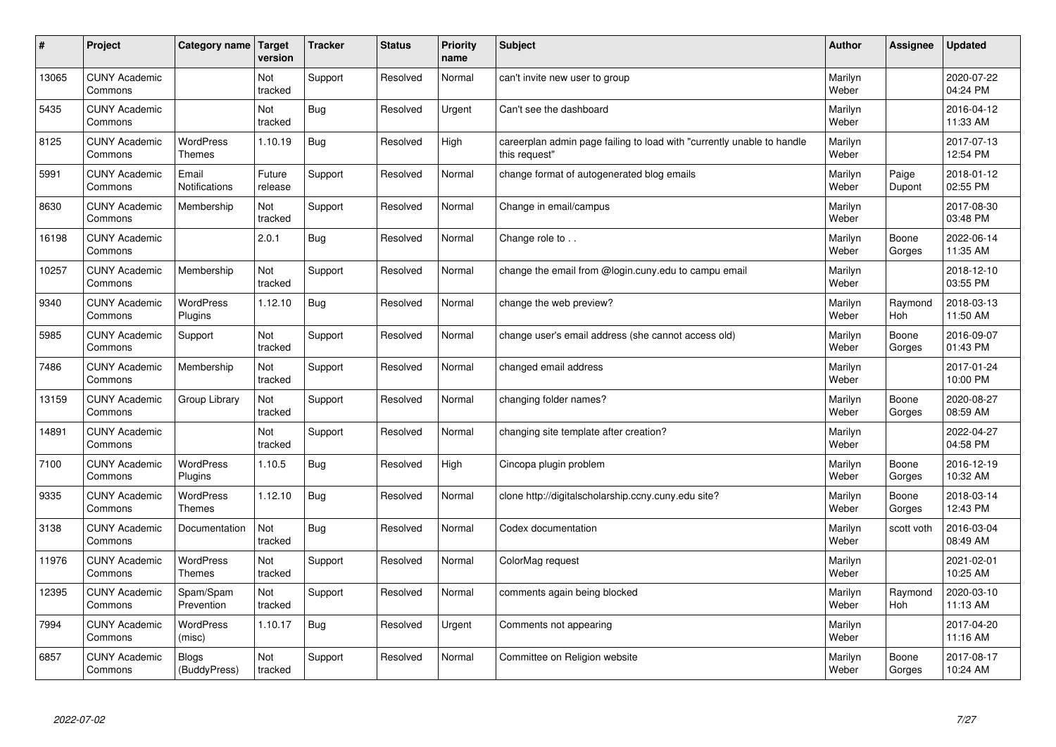| #     | Project                         | Category name   Target            | version           | <b>Tracker</b> | <b>Status</b> | <b>Priority</b><br>name | <b>Subject</b>                                                                          | <b>Author</b>    | Assignee        | <b>Updated</b>         |
|-------|---------------------------------|-----------------------------------|-------------------|----------------|---------------|-------------------------|-----------------------------------------------------------------------------------------|------------------|-----------------|------------------------|
| 13065 | <b>CUNY Academic</b><br>Commons |                                   | Not<br>tracked    | Support        | Resolved      | Normal                  | can't invite new user to group                                                          | Marilyn<br>Weber |                 | 2020-07-22<br>04:24 PM |
| 5435  | <b>CUNY Academic</b><br>Commons |                                   | Not<br>tracked    | Bug            | Resolved      | Urgent                  | Can't see the dashboard                                                                 | Marilyn<br>Weber |                 | 2016-04-12<br>11:33 AM |
| 8125  | <b>CUNY Academic</b><br>Commons | <b>WordPress</b><br><b>Themes</b> | 1.10.19           | <b>Bug</b>     | Resolved      | High                    | careerplan admin page failing to load with "currently unable to handle<br>this request" | Marilyn<br>Weber |                 | 2017-07-13<br>12:54 PM |
| 5991  | <b>CUNY Academic</b><br>Commons | Email<br>Notifications            | Future<br>release | Support        | Resolved      | Normal                  | change format of autogenerated blog emails                                              | Marilyn<br>Weber | Paige<br>Dupont | 2018-01-12<br>02:55 PM |
| 8630  | <b>CUNY Academic</b><br>Commons | Membership                        | Not<br>tracked    | Support        | Resolved      | Normal                  | Change in email/campus                                                                  | Marilyn<br>Weber |                 | 2017-08-30<br>03:48 PM |
| 16198 | <b>CUNY Academic</b><br>Commons |                                   | 2.0.1             | Bug            | Resolved      | Normal                  | Change role to                                                                          | Marilyn<br>Weber | Boone<br>Gorges | 2022-06-14<br>11:35 AM |
| 10257 | <b>CUNY Academic</b><br>Commons | Membership                        | Not<br>tracked    | Support        | Resolved      | Normal                  | change the email from @login.cuny.edu to campu email                                    | Marilyn<br>Weber |                 | 2018-12-10<br>03:55 PM |
| 9340  | <b>CUNY Academic</b><br>Commons | WordPress<br>Plugins              | 1.12.10           | <b>Bug</b>     | Resolved      | Normal                  | change the web preview?                                                                 | Marilyn<br>Weber | Raymond<br>Hoh  | 2018-03-13<br>11:50 AM |
| 5985  | <b>CUNY Academic</b><br>Commons | Support                           | Not<br>tracked    | Support        | Resolved      | Normal                  | change user's email address (she cannot access old)                                     | Marilyn<br>Weber | Boone<br>Gorges | 2016-09-07<br>01:43 PM |
| 7486  | <b>CUNY Academic</b><br>Commons | Membership                        | Not<br>tracked    | Support        | Resolved      | Normal                  | changed email address                                                                   | Marilyn<br>Weber |                 | 2017-01-24<br>10:00 PM |
| 13159 | <b>CUNY Academic</b><br>Commons | Group Library                     | Not<br>tracked    | Support        | Resolved      | Normal                  | changing folder names?                                                                  | Marilyn<br>Weber | Boone<br>Gorges | 2020-08-27<br>08:59 AM |
| 14891 | <b>CUNY Academic</b><br>Commons |                                   | Not<br>tracked    | Support        | Resolved      | Normal                  | changing site template after creation?                                                  | Marilyn<br>Weber |                 | 2022-04-27<br>04:58 PM |
| 7100  | <b>CUNY Academic</b><br>Commons | <b>WordPress</b><br>Plugins       | 1.10.5            | Bug            | Resolved      | High                    | Cincopa plugin problem                                                                  | Marilyn<br>Weber | Boone<br>Gorges | 2016-12-19<br>10:32 AM |
| 9335  | <b>CUNY Academic</b><br>Commons | <b>WordPress</b><br><b>Themes</b> | 1.12.10           | Bug            | Resolved      | Normal                  | clone http://digitalscholarship.ccny.cuny.edu site?                                     | Marilyn<br>Weber | Boone<br>Gorges | 2018-03-14<br>12:43 PM |
| 3138  | <b>CUNY Academic</b><br>Commons | Documentation                     | Not<br>tracked    | <b>Bug</b>     | Resolved      | Normal                  | Codex documentation                                                                     | Marilyn<br>Weber | scott voth      | 2016-03-04<br>08:49 AM |
| 11976 | <b>CUNY Academic</b><br>Commons | <b>WordPress</b><br><b>Themes</b> | Not<br>tracked    | Support        | Resolved      | Normal                  | ColorMag request                                                                        | Marilyn<br>Weber |                 | 2021-02-01<br>10:25 AM |
| 12395 | <b>CUNY Academic</b><br>Commons | Spam/Spam<br>Prevention           | Not<br>tracked    | Support        | Resolved      | Normal                  | comments again being blocked                                                            | Marilyn<br>Weber | Raymond<br>Hoh  | 2020-03-10<br>11:13 AM |
| 7994  | <b>CUNY Academic</b><br>Commons | WordPress<br>(misc)               | 1.10.17           | <b>Bug</b>     | Resolved      | Urgent                  | Comments not appearing                                                                  | Marilyn<br>Weber |                 | 2017-04-20<br>11:16 AM |
| 6857  | <b>CUNY Academic</b><br>Commons | Blogs<br>(BuddyPress)             | Not<br>tracked    | Support        | Resolved      | Normal                  | Committee on Religion website                                                           | Marilyn<br>Weber | Boone<br>Gorges | 2017-08-17<br>10:24 AM |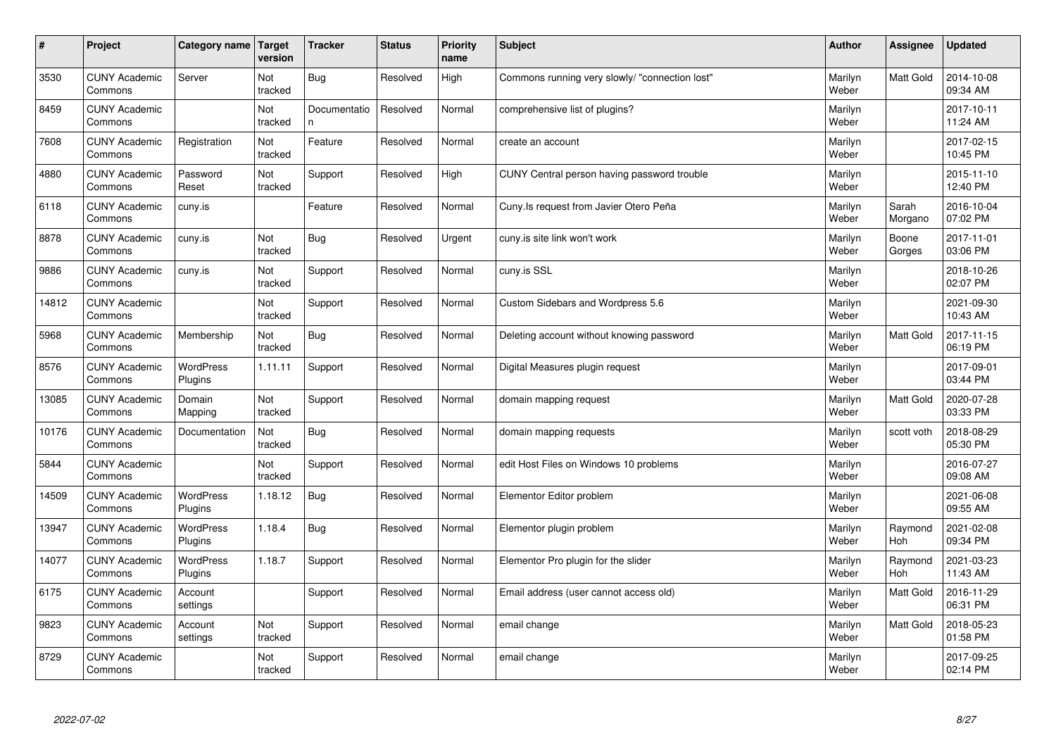| $\sharp$ | Project                         | Category name   Target      | version        | <b>Tracker</b>     | <b>Status</b> | <b>Priority</b><br>name | <b>Subject</b>                                 | <b>Author</b>    | Assignee              | <b>Updated</b>         |
|----------|---------------------------------|-----------------------------|----------------|--------------------|---------------|-------------------------|------------------------------------------------|------------------|-----------------------|------------------------|
| 3530     | <b>CUNY Academic</b><br>Commons | Server                      | Not<br>tracked | Bug                | Resolved      | High                    | Commons running very slowly/ "connection lost" | Marilyn<br>Weber | <b>Matt Gold</b>      | 2014-10-08<br>09:34 AM |
| 8459     | <b>CUNY Academic</b><br>Commons |                             | Not<br>tracked | Documentatio<br>n. | Resolved      | Normal                  | comprehensive list of plugins?                 | Marilyn<br>Weber |                       | 2017-10-11<br>11:24 AM |
| 7608     | <b>CUNY Academic</b><br>Commons | Registration                | Not<br>tracked | Feature            | Resolved      | Normal                  | create an account                              | Marilyn<br>Weber |                       | 2017-02-15<br>10:45 PM |
| 4880     | <b>CUNY Academic</b><br>Commons | Password<br>Reset           | Not<br>tracked | Support            | Resolved      | High                    | CUNY Central person having password trouble    | Marilyn<br>Weber |                       | 2015-11-10<br>12:40 PM |
| 6118     | <b>CUNY Academic</b><br>Commons | cuny.is                     |                | Feature            | Resolved      | Normal                  | Cuny. Is request from Javier Otero Peña        | Marilyn<br>Weber | Sarah<br>Morgano      | 2016-10-04<br>07:02 PM |
| 8878     | <b>CUNY Academic</b><br>Commons | cuny.is                     | Not<br>tracked | Bug                | Resolved      | Urgent                  | cuny.is site link won't work                   | Marilyn<br>Weber | Boone<br>Gorges       | 2017-11-01<br>03:06 PM |
| 9886     | <b>CUNY Academic</b><br>Commons | cuny.is                     | Not<br>tracked | Support            | Resolved      | Normal                  | cuny.is SSL                                    | Marilyn<br>Weber |                       | 2018-10-26<br>02:07 PM |
| 14812    | <b>CUNY Academic</b><br>Commons |                             | Not<br>tracked | Support            | Resolved      | Normal                  | Custom Sidebars and Wordpress 5.6              | Marilyn<br>Weber |                       | 2021-09-30<br>10:43 AM |
| 5968     | <b>CUNY Academic</b><br>Commons | Membership                  | Not<br>tracked | Bug                | Resolved      | Normal                  | Deleting account without knowing password      | Marilyn<br>Weber | <b>Matt Gold</b>      | 2017-11-15<br>06:19 PM |
| 8576     | <b>CUNY Academic</b><br>Commons | <b>WordPress</b><br>Plugins | 1.11.11        | Support            | Resolved      | Normal                  | Digital Measures plugin request                | Marilyn<br>Weber |                       | 2017-09-01<br>03:44 PM |
| 13085    | <b>CUNY Academic</b><br>Commons | Domain<br>Mapping           | Not<br>tracked | Support            | Resolved      | Normal                  | domain mapping request                         | Marilyn<br>Weber | <b>Matt Gold</b>      | 2020-07-28<br>03:33 PM |
| 10176    | <b>CUNY Academic</b><br>Commons | Documentation               | Not<br>tracked | <b>Bug</b>         | Resolved      | Normal                  | domain mapping requests                        | Marilyn<br>Weber | scott voth            | 2018-08-29<br>05:30 PM |
| 5844     | <b>CUNY Academic</b><br>Commons |                             | Not<br>tracked | Support            | Resolved      | Normal                  | edit Host Files on Windows 10 problems         | Marilyn<br>Weber |                       | 2016-07-27<br>09:08 AM |
| 14509    | <b>CUNY Academic</b><br>Commons | WordPress<br>Plugins        | 1.18.12        | Bug                | Resolved      | Normal                  | Elementor Editor problem                       | Marilyn<br>Weber |                       | 2021-06-08<br>09:55 AM |
| 13947    | <b>CUNY Academic</b><br>Commons | <b>WordPress</b><br>Plugins | 1.18.4         | <b>Bug</b>         | Resolved      | Normal                  | Elementor plugin problem                       | Marilyn<br>Weber | Raymond<br><b>Hoh</b> | 2021-02-08<br>09:34 PM |
| 14077    | <b>CUNY Academic</b><br>Commons | <b>WordPress</b><br>Plugins | 1.18.7         | Support            | Resolved      | Normal                  | Elementor Pro plugin for the slider            | Marilyn<br>Weber | Raymond<br>Hoh        | 2021-03-23<br>11:43 AM |
| 6175     | <b>CUNY Academic</b><br>Commons | Account<br>settings         |                | Support            | Resolved      | Normal                  | Email address (user cannot access old)         | Marilyn<br>Weber | <b>Matt Gold</b>      | 2016-11-29<br>06:31 PM |
| 9823     | <b>CUNY Academic</b><br>Commons | Account<br>settings         | Not<br>tracked | Support            | Resolved      | Normal                  | email change                                   | Marilyn<br>Weber | <b>Matt Gold</b>      | 2018-05-23<br>01:58 PM |
| 8729     | <b>CUNY Academic</b><br>Commons |                             | Not<br>tracked | Support            | Resolved      | Normal                  | email change                                   | Marilyn<br>Weber |                       | 2017-09-25<br>02:14 PM |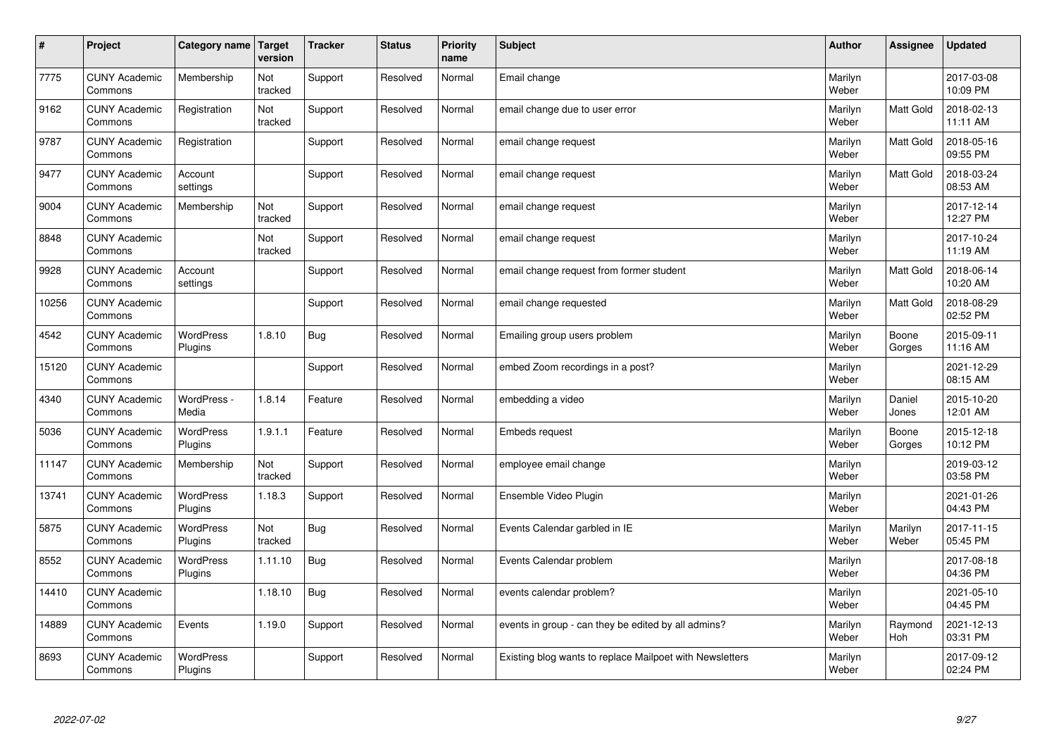| $\sharp$ | Project                         | Category name   Target      | version        | <b>Tracker</b> | <b>Status</b> | <b>Priority</b><br>name | <b>Subject</b>                                           | <b>Author</b>    | Assignee         | <b>Updated</b>         |
|----------|---------------------------------|-----------------------------|----------------|----------------|---------------|-------------------------|----------------------------------------------------------|------------------|------------------|------------------------|
| 7775     | <b>CUNY Academic</b><br>Commons | Membership                  | Not<br>tracked | Support        | Resolved      | Normal                  | Email change                                             | Marilyn<br>Weber |                  | 2017-03-08<br>10:09 PM |
| 9162     | <b>CUNY Academic</b><br>Commons | Registration                | Not<br>tracked | Support        | Resolved      | Normal                  | email change due to user error                           | Marilyn<br>Weber | <b>Matt Gold</b> | 2018-02-13<br>11:11 AM |
| 9787     | <b>CUNY Academic</b><br>Commons | Registration                |                | Support        | Resolved      | Normal                  | email change request                                     | Marilyn<br>Weber | Matt Gold        | 2018-05-16<br>09:55 PM |
| 9477     | <b>CUNY Academic</b><br>Commons | Account<br>settings         |                | Support        | Resolved      | Normal                  | email change request                                     | Marilyn<br>Weber | Matt Gold        | 2018-03-24<br>08:53 AM |
| 9004     | <b>CUNY Academic</b><br>Commons | Membership                  | Not<br>tracked | Support        | Resolved      | Normal                  | email change request                                     | Marilyn<br>Weber |                  | 2017-12-14<br>12:27 PM |
| 8848     | <b>CUNY Academic</b><br>Commons |                             | Not<br>tracked | Support        | Resolved      | Normal                  | email change request                                     | Marilyn<br>Weber |                  | 2017-10-24<br>11:19 AM |
| 9928     | <b>CUNY Academic</b><br>Commons | Account<br>settings         |                | Support        | Resolved      | Normal                  | email change request from former student                 | Marilyn<br>Weber | <b>Matt Gold</b> | 2018-06-14<br>10:20 AM |
| 10256    | <b>CUNY Academic</b><br>Commons |                             |                | Support        | Resolved      | Normal                  | email change requested                                   | Marilyn<br>Weber | Matt Gold        | 2018-08-29<br>02:52 PM |
| 4542     | <b>CUNY Academic</b><br>Commons | <b>WordPress</b><br>Plugins | 1.8.10         | Bug            | Resolved      | Normal                  | Emailing group users problem                             | Marilyn<br>Weber | Boone<br>Gorges  | 2015-09-11<br>11:16 AM |
| 15120    | <b>CUNY Academic</b><br>Commons |                             |                | Support        | Resolved      | Normal                  | embed Zoom recordings in a post?                         | Marilyn<br>Weber |                  | 2021-12-29<br>08:15 AM |
| 4340     | <b>CUNY Academic</b><br>Commons | WordPress -<br>Media        | 1.8.14         | Feature        | Resolved      | Normal                  | embedding a video                                        | Marilyn<br>Weber | Daniel<br>Jones  | 2015-10-20<br>12:01 AM |
| 5036     | <b>CUNY Academic</b><br>Commons | <b>WordPress</b><br>Plugins | 1.9.1.1        | Feature        | Resolved      | Normal                  | <b>Embeds request</b>                                    | Marilyn<br>Weber | Boone<br>Gorges  | 2015-12-18<br>10:12 PM |
| 11147    | <b>CUNY Academic</b><br>Commons | Membership                  | Not<br>tracked | Support        | Resolved      | Normal                  | employee email change                                    | Marilyn<br>Weber |                  | 2019-03-12<br>03:58 PM |
| 13741    | <b>CUNY Academic</b><br>Commons | WordPress<br>Plugins        | 1.18.3         | Support        | Resolved      | Normal                  | Ensemble Video Plugin                                    | Marilyn<br>Weber |                  | 2021-01-26<br>04:43 PM |
| 5875     | <b>CUNY Academic</b><br>Commons | WordPress<br>Plugins        | Not<br>tracked | <b>Bug</b>     | Resolved      | Normal                  | Events Calendar garbled in IE                            | Marilyn<br>Weber | Marilyn<br>Weber | 2017-11-15<br>05:45 PM |
| 8552     | <b>CUNY Academic</b><br>Commons | <b>WordPress</b><br>Plugins | 1.11.10        | <b>Bug</b>     | Resolved      | Normal                  | Events Calendar problem                                  | Marilyn<br>Weber |                  | 2017-08-18<br>04:36 PM |
| 14410    | <b>CUNY Academic</b><br>Commons |                             | 1.18.10        | Bug            | Resolved      | Normal                  | events calendar problem?                                 | Marilyn<br>Weber |                  | 2021-05-10<br>04:45 PM |
| 14889    | <b>CUNY Academic</b><br>Commons | Events                      | 1.19.0         | Support        | Resolved      | Normal                  | events in group - can they be edited by all admins?      | Marilyn<br>Weber | Raymond<br>Hoh   | 2021-12-13<br>03:31 PM |
| 8693     | <b>CUNY Academic</b><br>Commons | <b>WordPress</b><br>Plugins |                | Support        | Resolved      | Normal                  | Existing blog wants to replace Mailpoet with Newsletters | Marilyn<br>Weber |                  | 2017-09-12<br>02:24 PM |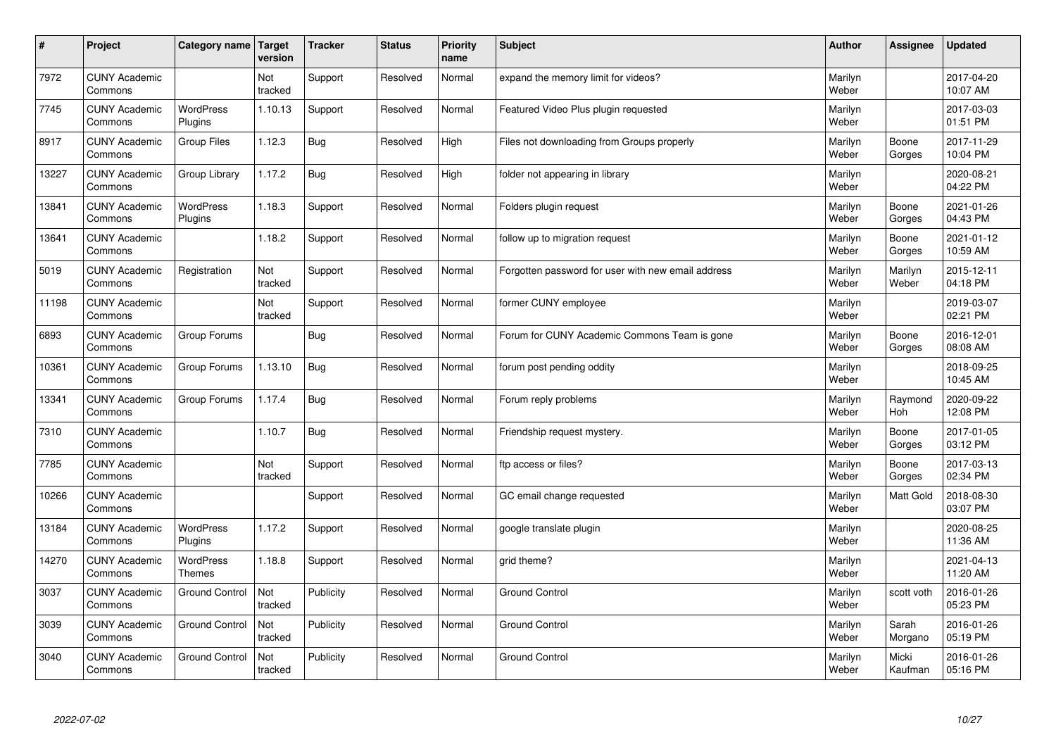| $\sharp$ | Project                         | Category name   Target            | version        | <b>Tracker</b> | <b>Status</b> | <b>Priority</b><br>name | <b>Subject</b>                                     | <b>Author</b>    | Assignee         | <b>Updated</b>         |
|----------|---------------------------------|-----------------------------------|----------------|----------------|---------------|-------------------------|----------------------------------------------------|------------------|------------------|------------------------|
| 7972     | <b>CUNY Academic</b><br>Commons |                                   | Not<br>tracked | Support        | Resolved      | Normal                  | expand the memory limit for videos?                | Marilyn<br>Weber |                  | 2017-04-20<br>10:07 AM |
| 7745     | <b>CUNY Academic</b><br>Commons | <b>WordPress</b><br>Plugins       | 1.10.13        | Support        | Resolved      | Normal                  | Featured Video Plus plugin requested               | Marilyn<br>Weber |                  | 2017-03-03<br>01:51 PM |
| 8917     | <b>CUNY Academic</b><br>Commons | <b>Group Files</b>                | 1.12.3         | Bug            | Resolved      | High                    | Files not downloading from Groups properly         | Marilyn<br>Weber | Boone<br>Gorges  | 2017-11-29<br>10:04 PM |
| 13227    | <b>CUNY Academic</b><br>Commons | Group Library                     | 1.17.2         | Bug            | Resolved      | High                    | folder not appearing in library                    | Marilyn<br>Weber |                  | 2020-08-21<br>04:22 PM |
| 13841    | <b>CUNY Academic</b><br>Commons | <b>WordPress</b><br>Plugins       | 1.18.3         | Support        | Resolved      | Normal                  | Folders plugin request                             | Marilyn<br>Weber | Boone<br>Gorges  | 2021-01-26<br>04:43 PM |
| 13641    | <b>CUNY Academic</b><br>Commons |                                   | 1.18.2         | Support        | Resolved      | Normal                  | follow up to migration request                     | Marilyn<br>Weber | Boone<br>Gorges  | 2021-01-12<br>10:59 AM |
| 5019     | <b>CUNY Academic</b><br>Commons | Registration                      | Not<br>tracked | Support        | Resolved      | Normal                  | Forgotten password for user with new email address | Marilyn<br>Weber | Marilyn<br>Weber | 2015-12-11<br>04:18 PM |
| 11198    | <b>CUNY Academic</b><br>Commons |                                   | Not<br>tracked | Support        | Resolved      | Normal                  | former CUNY employee                               | Marilyn<br>Weber |                  | 2019-03-07<br>02:21 PM |
| 6893     | <b>CUNY Academic</b><br>Commons | Group Forums                      |                | <b>Bug</b>     | Resolved      | Normal                  | Forum for CUNY Academic Commons Team is gone       | Marilyn<br>Weber | Boone<br>Gorges  | 2016-12-01<br>08:08 AM |
| 10361    | <b>CUNY Academic</b><br>Commons | Group Forums                      | 1.13.10        | Bug            | Resolved      | Normal                  | forum post pending oddity                          | Marilyn<br>Weber |                  | 2018-09-25<br>10:45 AM |
| 13341    | <b>CUNY Academic</b><br>Commons | Group Forums                      | 1.17.4         | <b>Bug</b>     | Resolved      | Normal                  | Forum reply problems                               | Marilyn<br>Weber | Raymond<br>Hoh   | 2020-09-22<br>12:08 PM |
| 7310     | <b>CUNY Academic</b><br>Commons |                                   | 1.10.7         | Bug            | Resolved      | Normal                  | Friendship request mystery.                        | Marilyn<br>Weber | Boone<br>Gorges  | 2017-01-05<br>03:12 PM |
| 7785     | <b>CUNY Academic</b><br>Commons |                                   | Not<br>tracked | Support        | Resolved      | Normal                  | ftp access or files?                               | Marilyn<br>Weber | Boone<br>Gorges  | 2017-03-13<br>02:34 PM |
| 10266    | <b>CUNY Academic</b><br>Commons |                                   |                | Support        | Resolved      | Normal                  | GC email change requested                          | Marilyn<br>Weber | <b>Matt Gold</b> | 2018-08-30<br>03:07 PM |
| 13184    | <b>CUNY Academic</b><br>Commons | WordPress<br>Plugins              | 1.17.2         | Support        | Resolved      | Normal                  | google translate plugin                            | Marilyn<br>Weber |                  | 2020-08-25<br>11:36 AM |
| 14270    | <b>CUNY Academic</b><br>Commons | <b>WordPress</b><br><b>Themes</b> | 1.18.8         | Support        | Resolved      | Normal                  | grid theme?                                        | Marilyn<br>Weber |                  | 2021-04-13<br>11:20 AM |
| 3037     | <b>CUNY Academic</b><br>Commons | <b>Ground Control</b>             | Not<br>tracked | Publicity      | Resolved      | Normal                  | <b>Ground Control</b>                              | Marilyn<br>Weber | scott voth       | 2016-01-26<br>05:23 PM |
| 3039     | <b>CUNY Academic</b><br>Commons | <b>Ground Control</b>             | Not<br>tracked | Publicity      | Resolved      | Normal                  | <b>Ground Control</b>                              | Marilyn<br>Weber | Sarah<br>Morgano | 2016-01-26<br>05:19 PM |
| 3040     | <b>CUNY Academic</b><br>Commons | <b>Ground Control</b>             | Not<br>tracked | Publicity      | Resolved      | Normal                  | <b>Ground Control</b>                              | Marilyn<br>Weber | Micki<br>Kaufman | 2016-01-26<br>05:16 PM |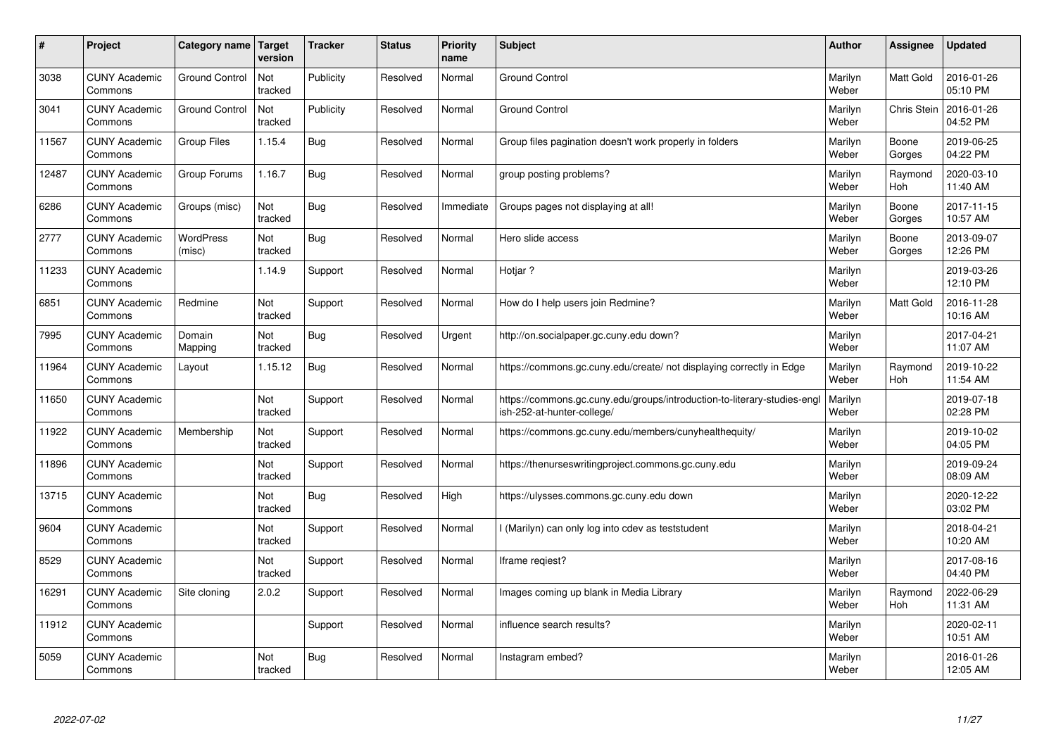| $\vert$ # | Project                         | Category name   Target     | version        | <b>Tracker</b> | <b>Status</b> | <b>Priority</b><br>name | <b>Subject</b>                                                                                        | <b>Author</b>    | Assignee              | <b>Updated</b>         |
|-----------|---------------------------------|----------------------------|----------------|----------------|---------------|-------------------------|-------------------------------------------------------------------------------------------------------|------------------|-----------------------|------------------------|
| 3038      | <b>CUNY Academic</b><br>Commons | <b>Ground Control</b>      | Not<br>tracked | Publicity      | Resolved      | Normal                  | <b>Ground Control</b>                                                                                 | Marilyn<br>Weber | <b>Matt Gold</b>      | 2016-01-26<br>05:10 PM |
| 3041      | <b>CUNY Academic</b><br>Commons | <b>Ground Control</b>      | Not<br>tracked | Publicity      | Resolved      | Normal                  | <b>Ground Control</b>                                                                                 | Marilyn<br>Weber | <b>Chris Stein</b>    | 2016-01-26<br>04:52 PM |
| 11567     | <b>CUNY Academic</b><br>Commons | <b>Group Files</b>         | 1.15.4         | Bug            | Resolved      | Normal                  | Group files pagination doesn't work properly in folders                                               | Marilyn<br>Weber | Boone<br>Gorges       | 2019-06-25<br>04:22 PM |
| 12487     | <b>CUNY Academic</b><br>Commons | Group Forums               | 1.16.7         | Bug            | Resolved      | Normal                  | group posting problems?                                                                               | Marilyn<br>Weber | Raymond<br><b>Hoh</b> | 2020-03-10<br>11:40 AM |
| 6286      | <b>CUNY Academic</b><br>Commons | Groups (misc)              | Not<br>tracked | Bug            | Resolved      | Immediate               | Groups pages not displaying at all!                                                                   | Marilyn<br>Weber | Boone<br>Gorges       | 2017-11-15<br>10:57 AM |
| 2777      | <b>CUNY Academic</b><br>Commons | <b>WordPress</b><br>(misc) | Not<br>tracked | Bug            | Resolved      | Normal                  | Hero slide access                                                                                     | Marilyn<br>Weber | Boone<br>Gorges       | 2013-09-07<br>12:26 PM |
| 11233     | <b>CUNY Academic</b><br>Commons |                            | 1.14.9         | Support        | Resolved      | Normal                  | Hotjar ?                                                                                              | Marilyn<br>Weber |                       | 2019-03-26<br>12:10 PM |
| 6851      | <b>CUNY Academic</b><br>Commons | Redmine                    | Not<br>tracked | Support        | Resolved      | Normal                  | How do I help users join Redmine?                                                                     | Marilyn<br>Weber | Matt Gold             | 2016-11-28<br>10:16 AM |
| 7995      | <b>CUNY Academic</b><br>Commons | Domain<br>Mapping          | Not<br>tracked | <b>Bug</b>     | Resolved      | Urgent                  | http://on.socialpaper.gc.cuny.edu down?                                                               | Marilyn<br>Weber |                       | 2017-04-21<br>11:07 AM |
| 11964     | <b>CUNY Academic</b><br>Commons | Layout                     | 1.15.12        | Bug            | Resolved      | Normal                  | https://commons.gc.cuny.edu/create/ not displaying correctly in Edge                                  | Marilyn<br>Weber | Raymond<br>Hoh        | 2019-10-22<br>11:54 AM |
| 11650     | <b>CUNY Academic</b><br>Commons |                            | Not<br>tracked | Support        | Resolved      | Normal                  | https://commons.gc.cuny.edu/groups/introduction-to-literary-studies-eng<br>ish-252-at-hunter-college/ | Marilyn<br>Weber |                       | 2019-07-18<br>02:28 PM |
| 11922     | <b>CUNY Academic</b><br>Commons | Membership                 | Not<br>tracked | Support        | Resolved      | Normal                  | https://commons.gc.cuny.edu/members/cunyhealthequity/                                                 | Marilyn<br>Weber |                       | 2019-10-02<br>04:05 PM |
| 11896     | <b>CUNY Academic</b><br>Commons |                            | Not<br>tracked | Support        | Resolved      | Normal                  | https://thenurseswritingproject.commons.gc.cuny.edu                                                   | Marilyn<br>Weber |                       | 2019-09-24<br>08:09 AM |
| 13715     | <b>CUNY Academic</b><br>Commons |                            | Not<br>tracked | Bug            | Resolved      | High                    | https://ulysses.commons.gc.cuny.edu down                                                              | Marilyn<br>Weber |                       | 2020-12-22<br>03:02 PM |
| 9604      | <b>CUNY Academic</b><br>Commons |                            | Not<br>tracked | Support        | Resolved      | Normal                  | I (Marilyn) can only log into cdev as teststudent                                                     | Marilyn<br>Weber |                       | 2018-04-21<br>10:20 AM |
| 8529      | <b>CUNY Academic</b><br>Commons |                            | Not<br>tracked | Support        | Resolved      | Normal                  | Iframe reqiest?                                                                                       | Marilyn<br>Weber |                       | 2017-08-16<br>04:40 PM |
| 16291     | <b>CUNY Academic</b><br>Commons | Site cloning               | 2.0.2          | Support        | Resolved      | Normal                  | Images coming up blank in Media Library                                                               | Marilyn<br>Weber | Raymond<br>Hoh        | 2022-06-29<br>11:31 AM |
| 11912     | <b>CUNY Academic</b><br>Commons |                            |                | Support        | Resolved      | Normal                  | influence search results?                                                                             | Marilyn<br>Weber |                       | 2020-02-11<br>10:51 AM |
| 5059      | <b>CUNY Academic</b><br>Commons |                            | Not<br>tracked | Bug            | Resolved      | Normal                  | Instagram embed?                                                                                      | Marilyn<br>Weber |                       | 2016-01-26<br>12:05 AM |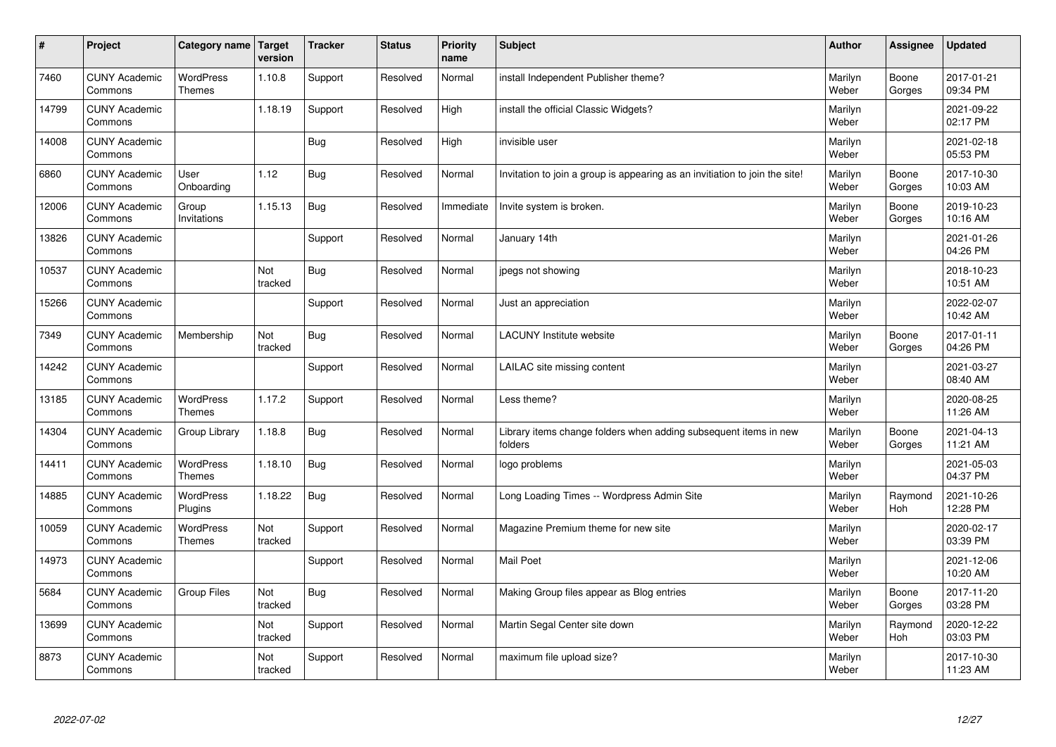| $\sharp$ | Project                         | Category name   Target            | version        | <b>Tracker</b> | <b>Status</b> | <b>Priority</b><br>name | <b>Subject</b>                                                              | <b>Author</b>    | Assignee              | <b>Updated</b>         |
|----------|---------------------------------|-----------------------------------|----------------|----------------|---------------|-------------------------|-----------------------------------------------------------------------------|------------------|-----------------------|------------------------|
| 7460     | <b>CUNY Academic</b><br>Commons | <b>WordPress</b><br>Themes        | 1.10.8         | Support        | Resolved      | Normal                  | install Independent Publisher theme?                                        | Marilyn<br>Weber | Boone<br>Gorges       | 2017-01-21<br>09:34 PM |
| 14799    | <b>CUNY Academic</b><br>Commons |                                   | 1.18.19        | Support        | Resolved      | High                    | install the official Classic Widgets?                                       | Marilyn<br>Weber |                       | 2021-09-22<br>02:17 PM |
| 14008    | <b>CUNY Academic</b><br>Commons |                                   |                | <b>Bug</b>     | Resolved      | High                    | invisible user                                                              | Marilyn<br>Weber |                       | 2021-02-18<br>05:53 PM |
| 6860     | <b>CUNY Academic</b><br>Commons | User<br>Onboarding                | 1.12           | <b>Bug</b>     | Resolved      | Normal                  | Invitation to join a group is appearing as an invitiation to join the site! | Marilyn<br>Weber | Boone<br>Gorges       | 2017-10-30<br>10:03 AM |
| 12006    | <b>CUNY Academic</b><br>Commons | Group<br>Invitations              | 1.15.13        | Bug            | Resolved      | Immediate               | Invite system is broken.                                                    | Marilyn<br>Weber | Boone<br>Gorges       | 2019-10-23<br>10:16 AM |
| 13826    | <b>CUNY Academic</b><br>Commons |                                   |                | Support        | Resolved      | Normal                  | January 14th                                                                | Marilyn<br>Weber |                       | 2021-01-26<br>04:26 PM |
| 10537    | <b>CUNY Academic</b><br>Commons |                                   | Not<br>tracked | <b>Bug</b>     | Resolved      | Normal                  | jpegs not showing                                                           | Marilyn<br>Weber |                       | 2018-10-23<br>10:51 AM |
| 15266    | <b>CUNY Academic</b><br>Commons |                                   |                | Support        | Resolved      | Normal                  | Just an appreciation                                                        | Marilyn<br>Weber |                       | 2022-02-07<br>10:42 AM |
| 7349     | <b>CUNY Academic</b><br>Commons | Membership                        | Not<br>tracked | Bug            | Resolved      | Normal                  | <b>LACUNY</b> Institute website                                             | Marilyn<br>Weber | Boone<br>Gorges       | 2017-01-11<br>04:26 PM |
| 14242    | <b>CUNY Academic</b><br>Commons |                                   |                | Support        | Resolved      | Normal                  | LAILAC site missing content                                                 | Marilyn<br>Weber |                       | 2021-03-27<br>08:40 AM |
| 13185    | <b>CUNY Academic</b><br>Commons | <b>WordPress</b><br><b>Themes</b> | 1.17.2         | Support        | Resolved      | Normal                  | Less theme?                                                                 | Marilyn<br>Weber |                       | 2020-08-25<br>11:26 AM |
| 14304    | <b>CUNY Academic</b><br>Commons | Group Library                     | 1.18.8         | Bug            | Resolved      | Normal                  | Library items change folders when adding subsequent items in new<br>folders | Marilyn<br>Weber | Boone<br>Gorges       | 2021-04-13<br>11:21 AM |
| 14411    | <b>CUNY Academic</b><br>Commons | <b>WordPress</b><br><b>Themes</b> | 1.18.10        | Bug            | Resolved      | Normal                  | logo problems                                                               | Marilyn<br>Weber |                       | 2021-05-03<br>04:37 PM |
| 14885    | <b>CUNY Academic</b><br>Commons | <b>WordPress</b><br>Plugins       | 1.18.22        | Bug            | Resolved      | Normal                  | Long Loading Times -- Wordpress Admin Site                                  | Marilyn<br>Weber | Raymond<br><b>Hoh</b> | 2021-10-26<br>12:28 PM |
| 10059    | <b>CUNY Academic</b><br>Commons | <b>WordPress</b><br><b>Themes</b> | Not<br>tracked | Support        | Resolved      | Normal                  | Magazine Premium theme for new site                                         | Marilyn<br>Weber |                       | 2020-02-17<br>03:39 PM |
| 14973    | <b>CUNY Academic</b><br>Commons |                                   |                | Support        | Resolved      | Normal                  | <b>Mail Poet</b>                                                            | Marilyn<br>Weber |                       | 2021-12-06<br>10:20 AM |
| 5684     | <b>CUNY Academic</b><br>Commons | Group Files                       | Not<br>tracked | Bug            | Resolved      | Normal                  | Making Group files appear as Blog entries                                   | Marilyn<br>Weber | Boone<br>Gorges       | 2017-11-20<br>03:28 PM |
| 13699    | <b>CUNY Academic</b><br>Commons |                                   | Not<br>tracked | Support        | Resolved      | Normal                  | Martin Segal Center site down                                               | Marilyn<br>Weber | Raymond<br><b>Hoh</b> | 2020-12-22<br>03:03 PM |
| 8873     | <b>CUNY Academic</b><br>Commons |                                   | Not<br>tracked | Support        | Resolved      | Normal                  | maximum file upload size?                                                   | Marilyn<br>Weber |                       | 2017-10-30<br>11:23 AM |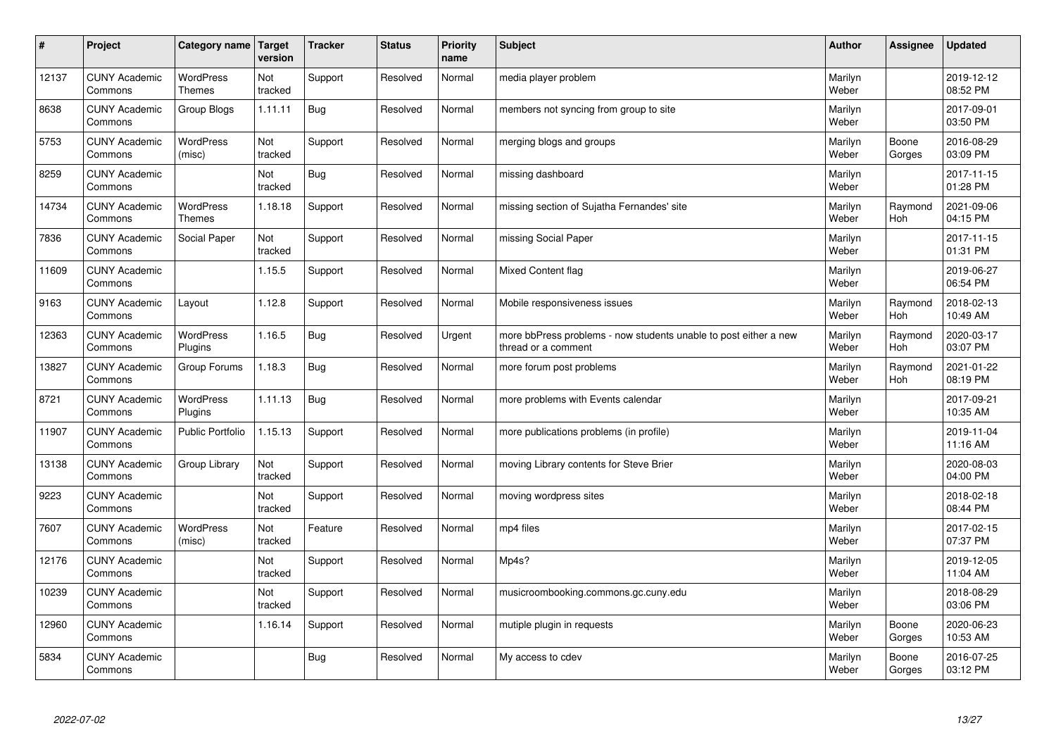| $\sharp$ | Project                         | Category name   Target            | version        | <b>Tracker</b> | <b>Status</b> | <b>Priority</b><br>name | <b>Subject</b>                                                                          | <b>Author</b>    | <b>Assignee</b>       | <b>Updated</b>         |
|----------|---------------------------------|-----------------------------------|----------------|----------------|---------------|-------------------------|-----------------------------------------------------------------------------------------|------------------|-----------------------|------------------------|
| 12137    | <b>CUNY Academic</b><br>Commons | <b>WordPress</b><br><b>Themes</b> | Not<br>tracked | Support        | Resolved      | Normal                  | media player problem                                                                    | Marilyn<br>Weber |                       | 2019-12-12<br>08:52 PM |
| 8638     | <b>CUNY Academic</b><br>Commons | Group Blogs                       | 1.11.11        | Bug            | Resolved      | Normal                  | members not syncing from group to site                                                  | Marilyn<br>Weber |                       | 2017-09-01<br>03:50 PM |
| 5753     | <b>CUNY Academic</b><br>Commons | <b>WordPress</b><br>(misc)        | Not<br>tracked | Support        | Resolved      | Normal                  | merging blogs and groups                                                                | Marilyn<br>Weber | Boone<br>Gorges       | 2016-08-29<br>03:09 PM |
| 8259     | <b>CUNY Academic</b><br>Commons |                                   | Not<br>tracked | Bug            | Resolved      | Normal                  | missing dashboard                                                                       | Marilyn<br>Weber |                       | 2017-11-15<br>01:28 PM |
| 14734    | <b>CUNY Academic</b><br>Commons | <b>WordPress</b><br><b>Themes</b> | 1.18.18        | Support        | Resolved      | Normal                  | missing section of Sujatha Fernandes' site                                              | Marilyn<br>Weber | Raymond<br>Hoh        | 2021-09-06<br>04:15 PM |
| 7836     | <b>CUNY Academic</b><br>Commons | Social Paper                      | Not<br>tracked | Support        | Resolved      | Normal                  | missing Social Paper                                                                    | Marilyn<br>Weber |                       | 2017-11-15<br>01:31 PM |
| 11609    | <b>CUNY Academic</b><br>Commons |                                   | 1.15.5         | Support        | Resolved      | Normal                  | Mixed Content flag                                                                      | Marilyn<br>Weber |                       | 2019-06-27<br>06:54 PM |
| 9163     | <b>CUNY Academic</b><br>Commons | Layout                            | 1.12.8         | Support        | Resolved      | Normal                  | Mobile responsiveness issues                                                            | Marilyn<br>Weber | Raymond<br>Hoh        | 2018-02-13<br>10:49 AM |
| 12363    | <b>CUNY Academic</b><br>Commons | <b>WordPress</b><br>Plugins       | 1.16.5         | <b>Bug</b>     | Resolved      | Urgent                  | more bbPress problems - now students unable to post either a new<br>thread or a comment | Marilyn<br>Weber | Raymond<br>Hoh        | 2020-03-17<br>03:07 PM |
| 13827    | <b>CUNY Academic</b><br>Commons | Group Forums                      | 1.18.3         | Bug            | Resolved      | Normal                  | more forum post problems                                                                | Marilyn<br>Weber | Raymond<br><b>Hoh</b> | 2021-01-22<br>08:19 PM |
| 8721     | <b>CUNY Academic</b><br>Commons | <b>WordPress</b><br>Plugins       | 1.11.13        | Bug            | Resolved      | Normal                  | more problems with Events calendar                                                      | Marilyn<br>Weber |                       | 2017-09-21<br>10:35 AM |
| 11907    | <b>CUNY Academic</b><br>Commons | Public Portfolio                  | 1.15.13        | Support        | Resolved      | Normal                  | more publications problems (in profile)                                                 | Marilyn<br>Weber |                       | 2019-11-04<br>11:16 AM |
| 13138    | <b>CUNY Academic</b><br>Commons | Group Library                     | Not<br>tracked | Support        | Resolved      | Normal                  | moving Library contents for Steve Brier                                                 | Marilyn<br>Weber |                       | 2020-08-03<br>04:00 PM |
| 9223     | <b>CUNY Academic</b><br>Commons |                                   | Not<br>tracked | Support        | Resolved      | Normal                  | moving wordpress sites                                                                  | Marilyn<br>Weber |                       | 2018-02-18<br>08:44 PM |
| 7607     | <b>CUNY Academic</b><br>Commons | WordPress<br>(misc)               | Not<br>tracked | Feature        | Resolved      | Normal                  | mp4 files                                                                               | Marilyn<br>Weber |                       | 2017-02-15<br>07:37 PM |
| 12176    | <b>CUNY Academic</b><br>Commons |                                   | Not<br>tracked | Support        | Resolved      | Normal                  | Mp4s?                                                                                   | Marilyn<br>Weber |                       | 2019-12-05<br>11:04 AM |
| 10239    | <b>CUNY Academic</b><br>Commons |                                   | Not<br>tracked | Support        | Resolved      | Normal                  | musicroombooking.commons.gc.cuny.edu                                                    | Marilyn<br>Weber |                       | 2018-08-29<br>03:06 PM |
| 12960    | <b>CUNY Academic</b><br>Commons |                                   | 1.16.14        | Support        | Resolved      | Normal                  | mutiple plugin in requests                                                              | Marilyn<br>Weber | Boone<br>Gorges       | 2020-06-23<br>10:53 AM |
| 5834     | <b>CUNY Academic</b><br>Commons |                                   |                | <b>Bug</b>     | Resolved      | Normal                  | My access to cdev                                                                       | Marilyn<br>Weber | Boone<br>Gorges       | 2016-07-25<br>03:12 PM |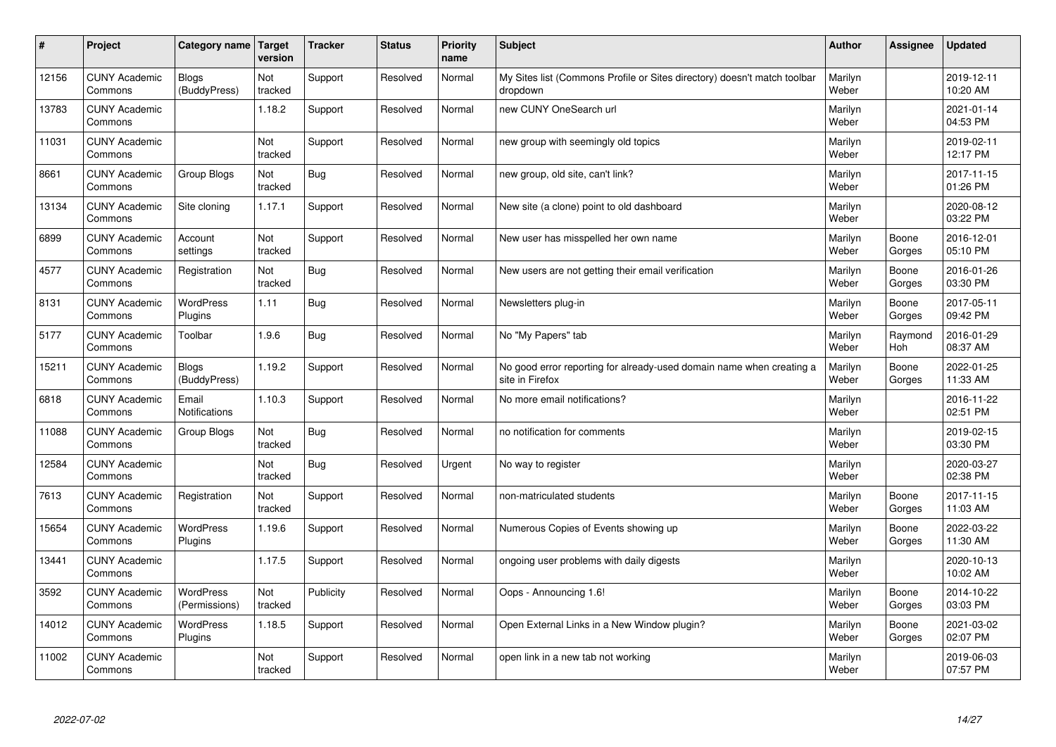| $\pmb{\#}$ | Project                         | Category name                     | Target<br>version | <b>Tracker</b> | <b>Status</b> | <b>Priority</b><br>name | <b>Subject</b>                                                                          | <b>Author</b>    | <b>Assignee</b> | Updated                |
|------------|---------------------------------|-----------------------------------|-------------------|----------------|---------------|-------------------------|-----------------------------------------------------------------------------------------|------------------|-----------------|------------------------|
| 12156      | <b>CUNY Academic</b><br>Commons | Blogs<br>(BuddyPress)             | Not<br>tracked    | Support        | Resolved      | Normal                  | My Sites list (Commons Profile or Sites directory) doesn't match toolbar<br>dropdown    | Marilyn<br>Weber |                 | 2019-12-11<br>10:20 AM |
| 13783      | <b>CUNY Academic</b><br>Commons |                                   | 1.18.2            | Support        | Resolved      | Normal                  | new CUNY OneSearch url                                                                  | Marilyn<br>Weber |                 | 2021-01-14<br>04:53 PM |
| 11031      | <b>CUNY Academic</b><br>Commons |                                   | Not<br>tracked    | Support        | Resolved      | Normal                  | new group with seemingly old topics                                                     | Marilyn<br>Weber |                 | 2019-02-11<br>12:17 PM |
| 8661       | <b>CUNY Academic</b><br>Commons | Group Blogs                       | Not<br>tracked    | <b>Bug</b>     | Resolved      | Normal                  | new group, old site, can't link?                                                        | Marilyn<br>Weber |                 | 2017-11-15<br>01:26 PM |
| 13134      | <b>CUNY Academic</b><br>Commons | Site cloning                      | 1.17.1            | Support        | Resolved      | Normal                  | New site (a clone) point to old dashboard                                               | Marilyn<br>Weber |                 | 2020-08-12<br>03:22 PM |
| 6899       | <b>CUNY Academic</b><br>Commons | Account<br>settings               | Not<br>tracked    | Support        | Resolved      | Normal                  | New user has misspelled her own name                                                    | Marilyn<br>Weber | Boone<br>Gorges | 2016-12-01<br>05:10 PM |
| 4577       | <b>CUNY Academic</b><br>Commons | Registration                      | Not<br>tracked    | <b>Bug</b>     | Resolved      | Normal                  | New users are not getting their email verification                                      | Marilyn<br>Weber | Boone<br>Gorges | 2016-01-26<br>03:30 PM |
| 8131       | <b>CUNY Academic</b><br>Commons | <b>WordPress</b><br>Plugins       | 1.11              | Bug            | Resolved      | Normal                  | Newsletters plug-in                                                                     | Marilyn<br>Weber | Boone<br>Gorges | 2017-05-11<br>09:42 PM |
| 5177       | <b>CUNY Academic</b><br>Commons | Toolbar                           | 1.9.6             | Bug            | Resolved      | Normal                  | No "My Papers" tab                                                                      | Marilyn<br>Weber | Raymond<br>Hoh  | 2016-01-29<br>08:37 AM |
| 15211      | <b>CUNY Academic</b><br>Commons | <b>Blogs</b><br>(BuddyPress)      | 1.19.2            | Support        | Resolved      | Normal                  | No good error reporting for already-used domain name when creating a<br>site in Firefox | Marilyn<br>Weber | Boone<br>Gorges | 2022-01-25<br>11:33 AM |
| 6818       | <b>CUNY Academic</b><br>Commons | Email<br>Notifications            | 1.10.3            | Support        | Resolved      | Normal                  | No more email notifications?                                                            | Marilyn<br>Weber |                 | 2016-11-22<br>02:51 PM |
| 11088      | <b>CUNY Academic</b><br>Commons | Group Blogs                       | Not<br>tracked    | Bug            | Resolved      | Normal                  | no notification for comments                                                            | Marilyn<br>Weber |                 | 2019-02-15<br>03:30 PM |
| 12584      | <b>CUNY Academic</b><br>Commons |                                   | Not<br>tracked    | <b>Bug</b>     | Resolved      | Urgent                  | No way to register                                                                      | Marilyn<br>Weber |                 | 2020-03-27<br>02:38 PM |
| 7613       | <b>CUNY Academic</b><br>Commons | Registration                      | Not<br>tracked    | Support        | Resolved      | Normal                  | non-matriculated students                                                               | Marilyn<br>Weber | Boone<br>Gorges | 2017-11-15<br>11:03 AM |
| 15654      | <b>CUNY Academic</b><br>Commons | WordPress<br>Plugins              | 1.19.6            | Support        | Resolved      | Normal                  | Numerous Copies of Events showing up                                                    | Marilyn<br>Weber | Boone<br>Gorges | 2022-03-22<br>11:30 AM |
| 13441      | <b>CUNY Academic</b><br>Commons |                                   | 1.17.5            | Support        | Resolved      | Normal                  | ongoing user problems with daily digests                                                | Marilyn<br>Weber |                 | 2020-10-13<br>10:02 AM |
| 3592       | <b>CUNY Academic</b><br>Commons | <b>WordPress</b><br>(Permissions) | Not<br>tracked    | Publicity      | Resolved      | Normal                  | Oops - Announcing 1.6!                                                                  | Marilyn<br>Weber | Boone<br>Gorges | 2014-10-22<br>03:03 PM |
| 14012      | <b>CUNY Academic</b><br>Commons | WordPress<br>Plugins              | 1.18.5            | Support        | Resolved      | Normal                  | Open External Links in a New Window plugin?                                             | Marilyn<br>Weber | Boone<br>Gorges | 2021-03-02<br>02:07 PM |
| 11002      | <b>CUNY Academic</b><br>Commons |                                   | Not<br>tracked    | Support        | Resolved      | Normal                  | open link in a new tab not working                                                      | Marilyn<br>Weber |                 | 2019-06-03<br>07:57 PM |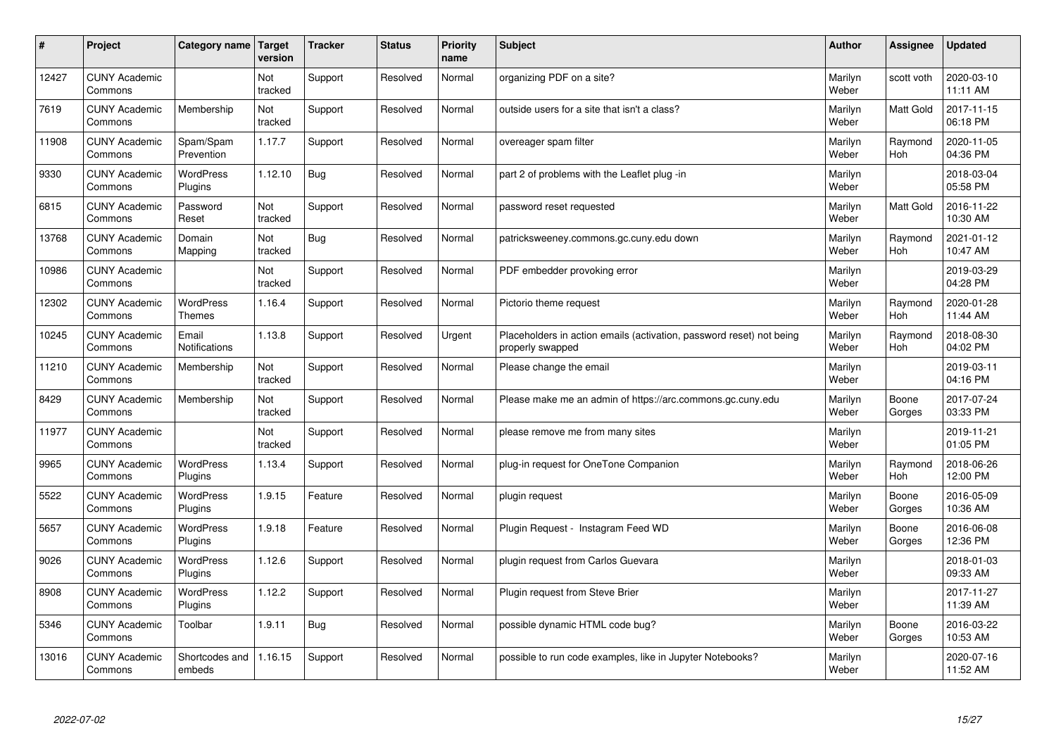| #     | Project                         | Category name                     | <b>Target</b><br>version | <b>Tracker</b> | <b>Status</b> | <b>Priority</b><br>name | <b>Subject</b>                                                                           | <b>Author</b>    | <b>Assignee</b>       | <b>Updated</b>         |
|-------|---------------------------------|-----------------------------------|--------------------------|----------------|---------------|-------------------------|------------------------------------------------------------------------------------------|------------------|-----------------------|------------------------|
| 12427 | <b>CUNY Academic</b><br>Commons |                                   | Not<br>tracked           | Support        | Resolved      | Normal                  | organizing PDF on a site?                                                                | Marilyn<br>Weber | scott voth            | 2020-03-10<br>11:11 AM |
| 7619  | <b>CUNY Academic</b><br>Commons | Membership                        | Not<br>tracked           | Support        | Resolved      | Normal                  | outside users for a site that isn't a class?                                             | Marilyn<br>Weber | Matt Gold             | 2017-11-15<br>06:18 PM |
| 11908 | <b>CUNY Academic</b><br>Commons | Spam/Spam<br>Prevention           | 1.17.7                   | Support        | Resolved      | Normal                  | overeager spam filter                                                                    | Marilyn<br>Weber | Raymond<br><b>Hoh</b> | 2020-11-05<br>04:36 PM |
| 9330  | <b>CUNY Academic</b><br>Commons | <b>WordPress</b><br>Plugins       | 1.12.10                  | <b>Bug</b>     | Resolved      | Normal                  | part 2 of problems with the Leaflet plug -in                                             | Marilyn<br>Weber |                       | 2018-03-04<br>05:58 PM |
| 6815  | <b>CUNY Academic</b><br>Commons | Password<br>Reset                 | Not<br>tracked           | Support        | Resolved      | Normal                  | password reset requested                                                                 | Marilyn<br>Weber | <b>Matt Gold</b>      | 2016-11-22<br>10:30 AM |
| 13768 | <b>CUNY Academic</b><br>Commons | Domain<br>Mapping                 | Not<br>tracked           | Bug            | Resolved      | Normal                  | patricksweeney.commons.gc.cuny.edu down                                                  | Marilyn<br>Weber | Raymond<br><b>Hoh</b> | 2021-01-12<br>10:47 AM |
| 10986 | <b>CUNY Academic</b><br>Commons |                                   | Not<br>tracked           | Support        | Resolved      | Normal                  | PDF embedder provoking error                                                             | Marilyn<br>Weber |                       | 2019-03-29<br>04:28 PM |
| 12302 | <b>CUNY Academic</b><br>Commons | <b>WordPress</b><br><b>Themes</b> | 1.16.4                   | Support        | Resolved      | Normal                  | Pictorio theme request                                                                   | Marilyn<br>Weber | Raymond<br>Hoh        | 2020-01-28<br>11:44 AM |
| 10245 | <b>CUNY Academic</b><br>Commons | Email<br>Notifications            | 1.13.8                   | Support        | Resolved      | Urgent                  | Placeholders in action emails (activation, password reset) not being<br>properly swapped | Marilyn<br>Weber | Raymond<br><b>Hoh</b> | 2018-08-30<br>04:02 PM |
| 11210 | <b>CUNY Academic</b><br>Commons | Membership                        | Not<br>tracked           | Support        | Resolved      | Normal                  | Please change the email                                                                  | Marilyn<br>Weber |                       | 2019-03-11<br>04:16 PM |
| 8429  | <b>CUNY Academic</b><br>Commons | Membership                        | Not<br>tracked           | Support        | Resolved      | Normal                  | Please make me an admin of https://arc.commons.gc.cuny.edu                               | Marilyn<br>Weber | Boone<br>Gorges       | 2017-07-24<br>03:33 PM |
| 11977 | <b>CUNY Academic</b><br>Commons |                                   | Not<br>tracked           | Support        | Resolved      | Normal                  | please remove me from many sites                                                         | Marilyn<br>Weber |                       | 2019-11-21<br>01:05 PM |
| 9965  | <b>CUNY Academic</b><br>Commons | <b>WordPress</b><br>Plugins       | 1.13.4                   | Support        | Resolved      | Normal                  | plug-in request for OneTone Companion                                                    | Marilyn<br>Weber | Raymond<br>Hoh        | 2018-06-26<br>12:00 PM |
| 5522  | <b>CUNY Academic</b><br>Commons | WordPress<br>Plugins              | 1.9.15                   | Feature        | Resolved      | Normal                  | plugin request                                                                           | Marilyn<br>Weber | Boone<br>Gorges       | 2016-05-09<br>10:36 AM |
| 5657  | <b>CUNY Academic</b><br>Commons | WordPress<br>Plugins              | 1.9.18                   | Feature        | Resolved      | Normal                  | Plugin Reguest - Instagram Feed WD                                                       | Marilyn<br>Weber | Boone<br>Gorges       | 2016-06-08<br>12:36 PM |
| 9026  | <b>CUNY Academic</b><br>Commons | <b>WordPress</b><br>Plugins       | 1.12.6                   | Support        | Resolved      | Normal                  | plugin request from Carlos Guevara                                                       | Marilyn<br>Weber |                       | 2018-01-03<br>09:33 AM |
| 8908  | <b>CUNY Academic</b><br>Commons | WordPress<br>Plugins              | 1.12.2                   | Support        | Resolved      | Normal                  | Plugin request from Steve Brier                                                          | Marilyn<br>Weber |                       | 2017-11-27<br>11:39 AM |
| 5346  | <b>CUNY Academic</b><br>Commons | Toolbar                           | 1.9.11                   | Bug            | Resolved      | Normal                  | possible dynamic HTML code bug?                                                          | Marilyn<br>Weber | Boone<br>Gorges       | 2016-03-22<br>10:53 AM |
| 13016 | <b>CUNY Academic</b><br>Commons | Shortcodes and<br>embeds          | 1.16.15                  | Support        | Resolved      | Normal                  | possible to run code examples, like in Jupyter Notebooks?                                | Marilyn<br>Weber |                       | 2020-07-16<br>11:52 AM |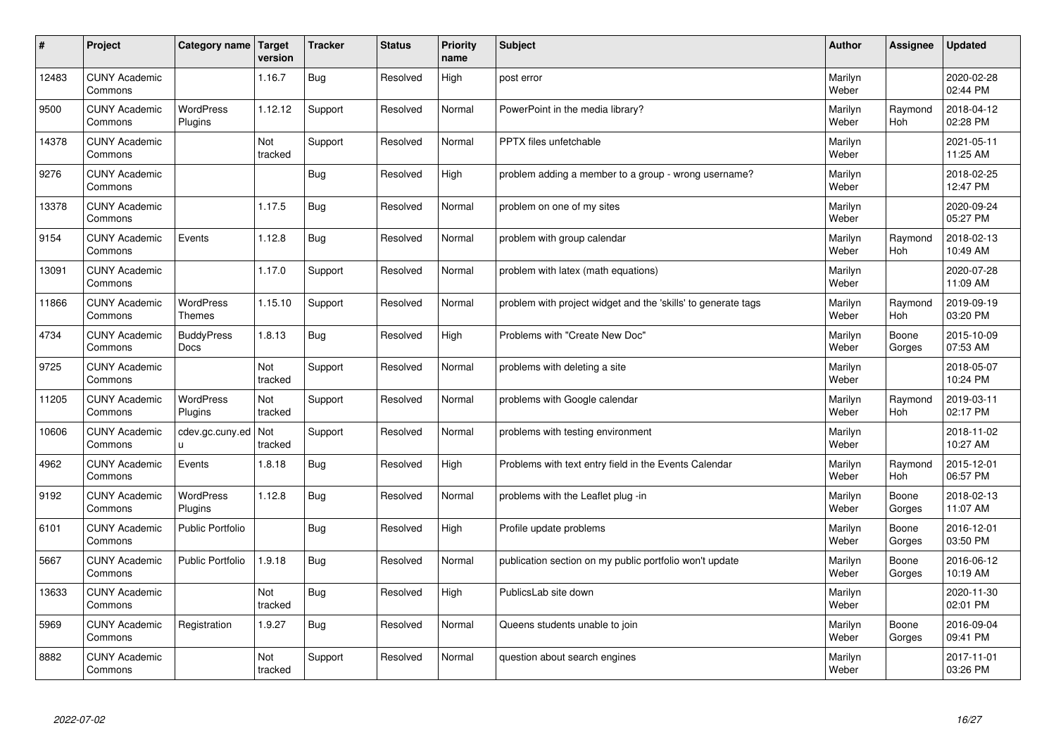| #     | Project                         | Category name                     | Target<br>version     | <b>Tracker</b> | <b>Status</b> | <b>Priority</b><br>name | <b>Subject</b>                                                | <b>Author</b>    | Assignee        | <b>Updated</b>         |
|-------|---------------------------------|-----------------------------------|-----------------------|----------------|---------------|-------------------------|---------------------------------------------------------------|------------------|-----------------|------------------------|
| 12483 | <b>CUNY Academic</b><br>Commons |                                   | 1.16.7                | Bug            | Resolved      | High                    | post error                                                    | Marilyn<br>Weber |                 | 2020-02-28<br>02:44 PM |
| 9500  | <b>CUNY Academic</b><br>Commons | <b>WordPress</b><br>Plugins       | 1.12.12               | Support        | Resolved      | Normal                  | PowerPoint in the media library?                              | Marilyn<br>Weber | Raymond<br>Hoh  | 2018-04-12<br>02:28 PM |
| 14378 | <b>CUNY Academic</b><br>Commons |                                   | Not<br>tracked        | Support        | Resolved      | Normal                  | PPTX files unfetchable                                        | Marilyn<br>Weber |                 | 2021-05-11<br>11:25 AM |
| 9276  | <b>CUNY Academic</b><br>Commons |                                   |                       | <b>Bug</b>     | Resolved      | High                    | problem adding a member to a group - wrong username?          | Marilyn<br>Weber |                 | 2018-02-25<br>12:47 PM |
| 13378 | <b>CUNY Academic</b><br>Commons |                                   | 1.17.5                | Bug            | Resolved      | Normal                  | problem on one of my sites                                    | Marilyn<br>Weber |                 | 2020-09-24<br>05:27 PM |
| 9154  | <b>CUNY Academic</b><br>Commons | Events                            | 1.12.8                | Bug            | Resolved      | Normal                  | problem with group calendar                                   | Marilyn<br>Weber | Raymond<br>Hoh  | 2018-02-13<br>10:49 AM |
| 13091 | <b>CUNY Academic</b><br>Commons |                                   | 1.17.0                | Support        | Resolved      | Normal                  | problem with latex (math equations)                           | Marilyn<br>Weber |                 | 2020-07-28<br>11:09 AM |
| 11866 | <b>CUNY Academic</b><br>Commons | <b>WordPress</b><br><b>Themes</b> | 1.15.10               | Support        | Resolved      | Normal                  | problem with project widget and the 'skills' to generate tags | Marilyn<br>Weber | Raymond<br>Hoh  | 2019-09-19<br>03:20 PM |
| 4734  | <b>CUNY Academic</b><br>Commons | <b>BuddyPress</b><br><b>Docs</b>  | 1.8.13                | Bug            | Resolved      | High                    | Problems with "Create New Doc"                                | Marilyn<br>Weber | Boone<br>Gorges | 2015-10-09<br>07:53 AM |
| 9725  | <b>CUNY Academic</b><br>Commons |                                   | Not<br>tracked        | Support        | Resolved      | Normal                  | problems with deleting a site                                 | Marilyn<br>Weber |                 | 2018-05-07<br>10:24 PM |
| 11205 | <b>CUNY Academic</b><br>Commons | <b>WordPress</b><br>Plugins       | Not<br>tracked        | Support        | Resolved      | Normal                  | problems with Google calendar                                 | Marilyn<br>Weber | Raymond<br>Hoh  | 2019-03-11<br>02:17 PM |
| 10606 | <b>CUNY Academic</b><br>Commons | cdev.gc.cuny.ed<br>H.             | <b>Not</b><br>tracked | Support        | Resolved      | Normal                  | problems with testing environment                             | Marilyn<br>Weber |                 | 2018-11-02<br>10:27 AM |
| 4962  | <b>CUNY Academic</b><br>Commons | Events                            | 1.8.18                | <b>Bug</b>     | Resolved      | High                    | Problems with text entry field in the Events Calendar         | Marilyn<br>Weber | Raymond<br>Hoh  | 2015-12-01<br>06:57 PM |
| 9192  | <b>CUNY Academic</b><br>Commons | <b>WordPress</b><br>Plugins       | 1.12.8                | Bug            | Resolved      | Normal                  | problems with the Leaflet plug -in                            | Marilyn<br>Weber | Boone<br>Gorges | 2018-02-13<br>11:07 AM |
| 6101  | <b>CUNY Academic</b><br>Commons | <b>Public Portfolio</b>           |                       | Bug            | Resolved      | High                    | Profile update problems                                       | Marilyn<br>Weber | Boone<br>Gorges | 2016-12-01<br>03:50 PM |
| 5667  | <b>CUNY Academic</b><br>Commons | <b>Public Portfolio</b>           | 1.9.18                | Bug            | Resolved      | Normal                  | publication section on my public portfolio won't update       | Marilyn<br>Weber | Boone<br>Gorges | 2016-06-12<br>10:19 AM |
| 13633 | <b>CUNY Academic</b><br>Commons |                                   | Not<br>tracked        | Bug            | Resolved      | High                    | PublicsLab site down                                          | Marilyn<br>Weber |                 | 2020-11-30<br>02:01 PM |
| 5969  | <b>CUNY Academic</b><br>Commons | Registration                      | 1.9.27                | Bug            | Resolved      | Normal                  | Queens students unable to join                                | Marilyn<br>Weber | Boone<br>Gorges | 2016-09-04<br>09:41 PM |
| 8882  | <b>CUNY Academic</b><br>Commons |                                   | Not<br>tracked        | Support        | Resolved      | Normal                  | question about search engines                                 | Marilyn<br>Weber |                 | 2017-11-01<br>03:26 PM |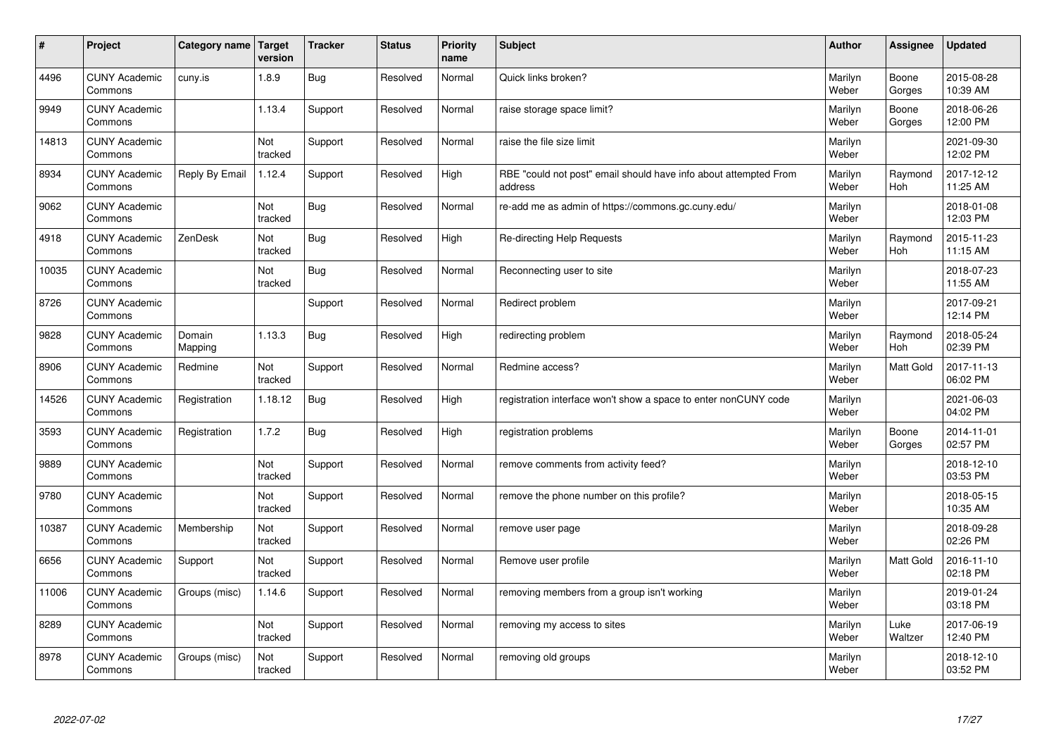| #     | Project                         | Category name   Target | version        | <b>Tracker</b> | <b>Status</b> | <b>Priority</b><br>name | <b>Subject</b>                                                              | <b>Author</b>    | Assignee         | <b>Updated</b>         |
|-------|---------------------------------|------------------------|----------------|----------------|---------------|-------------------------|-----------------------------------------------------------------------------|------------------|------------------|------------------------|
| 4496  | <b>CUNY Academic</b><br>Commons | cuny.is                | 1.8.9          | Bug            | Resolved      | Normal                  | Quick links broken?                                                         | Marilyn<br>Weber | Boone<br>Gorges  | 2015-08-28<br>10:39 AM |
| 9949  | <b>CUNY Academic</b><br>Commons |                        | 1.13.4         | Support        | Resolved      | Normal                  | raise storage space limit?                                                  | Marilyn<br>Weber | Boone<br>Gorges  | 2018-06-26<br>12:00 PM |
| 14813 | <b>CUNY Academic</b><br>Commons |                        | Not<br>tracked | Support        | Resolved      | Normal                  | raise the file size limit                                                   | Marilyn<br>Weber |                  | 2021-09-30<br>12:02 PM |
| 8934  | <b>CUNY Academic</b><br>Commons | Reply By Email         | 1.12.4         | Support        | Resolved      | High                    | RBE "could not post" email should have info about attempted From<br>address | Marilyn<br>Weber | Raymond<br>Hoh   | 2017-12-12<br>11:25 AM |
| 9062  | <b>CUNY Academic</b><br>Commons |                        | Not<br>tracked | Bug            | Resolved      | Normal                  | re-add me as admin of https://commons.gc.cuny.edu/                          | Marilyn<br>Weber |                  | 2018-01-08<br>12:03 PM |
| 4918  | <b>CUNY Academic</b><br>Commons | ZenDesk                | Not<br>tracked | Bug            | Resolved      | High                    | Re-directing Help Requests                                                  | Marilyn<br>Weber | Raymond<br>Hoh   | 2015-11-23<br>11:15 AM |
| 10035 | <b>CUNY Academic</b><br>Commons |                        | Not<br>tracked | Bug            | Resolved      | Normal                  | Reconnecting user to site                                                   | Marilyn<br>Weber |                  | 2018-07-23<br>11:55 AM |
| 8726  | <b>CUNY Academic</b><br>Commons |                        |                | Support        | Resolved      | Normal                  | Redirect problem                                                            | Marilyn<br>Weber |                  | 2017-09-21<br>12:14 PM |
| 9828  | <b>CUNY Academic</b><br>Commons | Domain<br>Mapping      | 1.13.3         | Bug            | Resolved      | High                    | redirecting problem                                                         | Marilyn<br>Weber | Raymond<br>Hoh   | 2018-05-24<br>02:39 PM |
| 8906  | <b>CUNY Academic</b><br>Commons | Redmine                | Not<br>tracked | Support        | Resolved      | Normal                  | Redmine access?                                                             | Marilyn<br>Weber | <b>Matt Gold</b> | 2017-11-13<br>06:02 PM |
| 14526 | <b>CUNY Academic</b><br>Commons | Registration           | 1.18.12        | Bug            | Resolved      | High                    | registration interface won't show a space to enter nonCUNY code             | Marilyn<br>Weber |                  | 2021-06-03<br>04:02 PM |
| 3593  | <b>CUNY Academic</b><br>Commons | Registration           | 1.7.2          | Bug            | Resolved      | High                    | registration problems                                                       | Marilyn<br>Weber | Boone<br>Gorges  | 2014-11-01<br>02:57 PM |
| 9889  | <b>CUNY Academic</b><br>Commons |                        | Not<br>tracked | Support        | Resolved      | Normal                  | remove comments from activity feed?                                         | Marilyn<br>Weber |                  | 2018-12-10<br>03:53 PM |
| 9780  | <b>CUNY Academic</b><br>Commons |                        | Not<br>tracked | Support        | Resolved      | Normal                  | remove the phone number on this profile?                                    | Marilyn<br>Weber |                  | 2018-05-15<br>10:35 AM |
| 10387 | <b>CUNY Academic</b><br>Commons | Membership             | Not<br>tracked | Support        | Resolved      | Normal                  | remove user page                                                            | Marilyn<br>Weber |                  | 2018-09-28<br>02:26 PM |
| 6656  | <b>CUNY Academic</b><br>Commons | Support                | Not<br>tracked | Support        | Resolved      | Normal                  | Remove user profile                                                         | Marilyn<br>Weber | <b>Matt Gold</b> | 2016-11-10<br>02:18 PM |
| 11006 | <b>CUNY Academic</b><br>Commons | Groups (misc)          | 1.14.6         | Support        | Resolved      | Normal                  | removing members from a group isn't working                                 | Marilyn<br>Weber |                  | 2019-01-24<br>03:18 PM |
| 8289  | <b>CUNY Academic</b><br>Commons |                        | Not<br>tracked | Support        | Resolved      | Normal                  | removing my access to sites                                                 | Marilyn<br>Weber | Luke<br>Waltzer  | 2017-06-19<br>12:40 PM |
| 8978  | <b>CUNY Academic</b><br>Commons | Groups (misc)          | Not<br>tracked | Support        | Resolved      | Normal                  | removing old groups                                                         | Marilyn<br>Weber |                  | 2018-12-10<br>03:52 PM |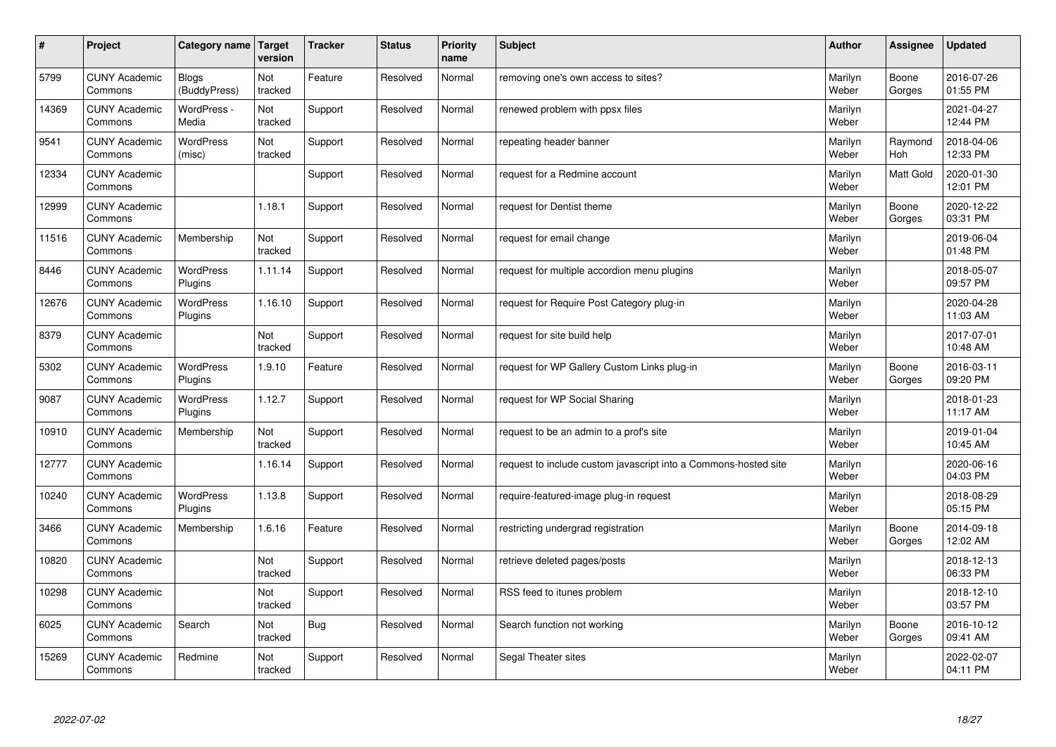| #     | Project                         | Category name   Target       | version        | <b>Tracker</b> | <b>Status</b> | <b>Priority</b><br>name | <b>Subject</b>                                                  | <b>Author</b>    | Assignee              | <b>Updated</b>         |
|-------|---------------------------------|------------------------------|----------------|----------------|---------------|-------------------------|-----------------------------------------------------------------|------------------|-----------------------|------------------------|
| 5799  | <b>CUNY Academic</b><br>Commons | <b>Blogs</b><br>(BuddyPress) | Not<br>tracked | Feature        | Resolved      | Normal                  | removing one's own access to sites?                             | Marilyn<br>Weber | Boone<br>Gorges       | 2016-07-26<br>01:55 PM |
| 14369 | <b>CUNY Academic</b><br>Commons | WordPress -<br>Media         | Not<br>tracked | Support        | Resolved      | Normal                  | renewed problem with ppsx files                                 | Marilyn<br>Weber |                       | 2021-04-27<br>12:44 PM |
| 9541  | <b>CUNY Academic</b><br>Commons | <b>WordPress</b><br>(misc)   | Not<br>tracked | Support        | Resolved      | Normal                  | repeating header banner                                         | Marilyn<br>Weber | Raymond<br><b>Hoh</b> | 2018-04-06<br>12:33 PM |
| 12334 | <b>CUNY Academic</b><br>Commons |                              |                | Support        | Resolved      | Normal                  | request for a Redmine account                                   | Marilyn<br>Weber | <b>Matt Gold</b>      | 2020-01-30<br>12:01 PM |
| 12999 | <b>CUNY Academic</b><br>Commons |                              | 1.18.1         | Support        | Resolved      | Normal                  | request for Dentist theme                                       | Marilyn<br>Weber | Boone<br>Gorges       | 2020-12-22<br>03:31 PM |
| 11516 | <b>CUNY Academic</b><br>Commons | Membership                   | Not<br>tracked | Support        | Resolved      | Normal                  | request for email change                                        | Marilyn<br>Weber |                       | 2019-06-04<br>01:48 PM |
| 8446  | <b>CUNY Academic</b><br>Commons | <b>WordPress</b><br>Plugins  | 1.11.14        | Support        | Resolved      | Normal                  | request for multiple accordion menu plugins                     | Marilyn<br>Weber |                       | 2018-05-07<br>09:57 PM |
| 12676 | <b>CUNY Academic</b><br>Commons | <b>WordPress</b><br>Plugins  | 1.16.10        | Support        | Resolved      | Normal                  | request for Require Post Category plug-in                       | Marilyn<br>Weber |                       | 2020-04-28<br>11:03 AM |
| 8379  | <b>CUNY Academic</b><br>Commons |                              | Not<br>tracked | Support        | Resolved      | Normal                  | request for site build help                                     | Marilyn<br>Weber |                       | 2017-07-01<br>10:48 AM |
| 5302  | <b>CUNY Academic</b><br>Commons | WordPress<br>Plugins         | 1.9.10         | Feature        | Resolved      | Normal                  | request for WP Gallery Custom Links plug-in                     | Marilyn<br>Weber | Boone<br>Gorges       | 2016-03-11<br>09:20 PM |
| 9087  | <b>CUNY Academic</b><br>Commons | WordPress<br>Plugins         | 1.12.7         | Support        | Resolved      | Normal                  | request for WP Social Sharing                                   | Marilyn<br>Weber |                       | 2018-01-23<br>11:17 AM |
| 10910 | <b>CUNY Academic</b><br>Commons | Membership                   | Not<br>tracked | Support        | Resolved      | Normal                  | request to be an admin to a prof's site                         | Marilyn<br>Weber |                       | 2019-01-04<br>10:45 AM |
| 12777 | <b>CUNY Academic</b><br>Commons |                              | 1.16.14        | Support        | Resolved      | Normal                  | request to include custom javascript into a Commons-hosted site | Marilyn<br>Weber |                       | 2020-06-16<br>04:03 PM |
| 10240 | <b>CUNY Academic</b><br>Commons | <b>WordPress</b><br>Plugins  | 1.13.8         | Support        | Resolved      | Normal                  | require-featured-image plug-in request                          | Marilyn<br>Weber |                       | 2018-08-29<br>05:15 PM |
| 3466  | <b>CUNY Academic</b><br>Commons | Membership                   | 1.6.16         | Feature        | Resolved      | Normal                  | restricting undergrad registration                              | Marilyn<br>Weber | Boone<br>Gorges       | 2014-09-18<br>12:02 AM |
| 10820 | <b>CUNY Academic</b><br>Commons |                              | Not<br>tracked | Support        | Resolved      | Normal                  | retrieve deleted pages/posts                                    | Marilyn<br>Weber |                       | 2018-12-13<br>06:33 PM |
| 10298 | <b>CUNY Academic</b><br>Commons |                              | Not<br>tracked | Support        | Resolved      | Normal                  | RSS feed to itunes problem                                      | Marilyn<br>Weber |                       | 2018-12-10<br>03:57 PM |
| 6025  | <b>CUNY Academic</b><br>Commons | Search                       | Not<br>tracked | Bug            | Resolved      | Normal                  | Search function not working                                     | Marilyn<br>Weber | Boone<br>Gorges       | 2016-10-12<br>09:41 AM |
| 15269 | <b>CUNY Academic</b><br>Commons | Redmine                      | Not<br>tracked | Support        | Resolved      | Normal                  | Segal Theater sites                                             | Marilyn<br>Weber |                       | 2022-02-07<br>04:11 PM |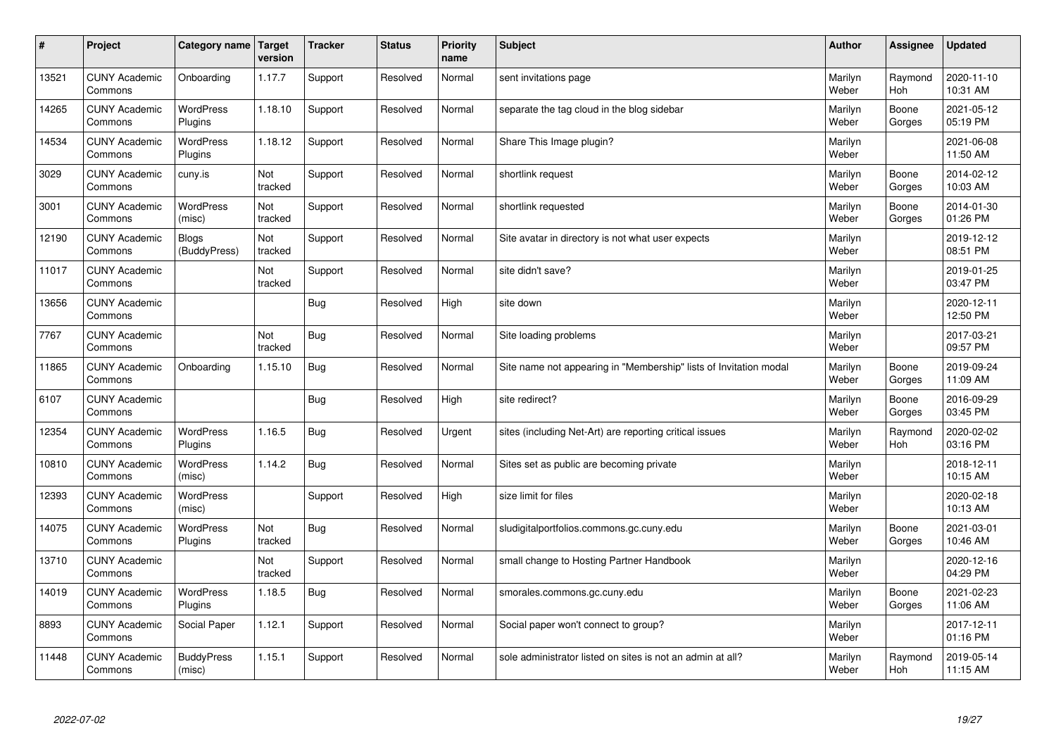| #     | Project                         | Category name   Target      | version        | <b>Tracker</b> | <b>Status</b> | <b>Priority</b><br>name | <b>Subject</b>                                                    | <b>Author</b>    | Assignee        | <b>Updated</b>         |
|-------|---------------------------------|-----------------------------|----------------|----------------|---------------|-------------------------|-------------------------------------------------------------------|------------------|-----------------|------------------------|
| 13521 | <b>CUNY Academic</b><br>Commons | Onboarding                  | 1.17.7         | Support        | Resolved      | Normal                  | sent invitations page                                             | Marilyn<br>Weber | Raymond<br>Hoh  | 2020-11-10<br>10:31 AM |
| 14265 | <b>CUNY Academic</b><br>Commons | <b>WordPress</b><br>Plugins | 1.18.10        | Support        | Resolved      | Normal                  | separate the tag cloud in the blog sidebar                        | Marilyn<br>Weber | Boone<br>Gorges | 2021-05-12<br>05:19 PM |
| 14534 | <b>CUNY Academic</b><br>Commons | <b>WordPress</b><br>Plugins | 1.18.12        | Support        | Resolved      | Normal                  | Share This Image plugin?                                          | Marilyn<br>Weber |                 | 2021-06-08<br>11:50 AM |
| 3029  | <b>CUNY Academic</b><br>Commons | cuny.is                     | Not<br>tracked | Support        | Resolved      | Normal                  | shortlink request                                                 | Marilyn<br>Weber | Boone<br>Gorges | 2014-02-12<br>10:03 AM |
| 3001  | <b>CUNY Academic</b><br>Commons | <b>WordPress</b><br>(misc)  | Not<br>tracked | Support        | Resolved      | Normal                  | shortlink requested                                               | Marilyn<br>Weber | Boone<br>Gorges | 2014-01-30<br>01:26 PM |
| 12190 | <b>CUNY Academic</b><br>Commons | Blogs<br>(BuddyPress)       | Not<br>tracked | Support        | Resolved      | Normal                  | Site avatar in directory is not what user expects                 | Marilyn<br>Weber |                 | 2019-12-12<br>08:51 PM |
| 11017 | <b>CUNY Academic</b><br>Commons |                             | Not<br>tracked | Support        | Resolved      | Normal                  | site didn't save?                                                 | Marilyn<br>Weber |                 | 2019-01-25<br>03:47 PM |
| 13656 | <b>CUNY Academic</b><br>Commons |                             |                | Bug            | Resolved      | High                    | site down                                                         | Marilyn<br>Weber |                 | 2020-12-11<br>12:50 PM |
| 7767  | <b>CUNY Academic</b><br>Commons |                             | Not<br>tracked | Bug            | Resolved      | Normal                  | Site loading problems                                             | Marilyn<br>Weber |                 | 2017-03-21<br>09:57 PM |
| 11865 | <b>CUNY Academic</b><br>Commons | Onboarding                  | 1.15.10        | Bug            | Resolved      | Normal                  | Site name not appearing in "Membership" lists of Invitation modal | Marilyn<br>Weber | Boone<br>Gorges | 2019-09-24<br>11:09 AM |
| 6107  | <b>CUNY Academic</b><br>Commons |                             |                | <b>Bug</b>     | Resolved      | High                    | site redirect?                                                    | Marilyn<br>Weber | Boone<br>Gorges | 2016-09-29<br>03:45 PM |
| 12354 | <b>CUNY Academic</b><br>Commons | <b>WordPress</b><br>Plugins | 1.16.5         | <b>Bug</b>     | Resolved      | Urgent                  | sites (including Net-Art) are reporting critical issues           | Marilyn<br>Weber | Raymond<br>Hoh  | 2020-02-02<br>03:16 PM |
| 10810 | <b>CUNY Academic</b><br>Commons | <b>WordPress</b><br>(misc)  | 1.14.2         | Bug            | Resolved      | Normal                  | Sites set as public are becoming private                          | Marilyn<br>Weber |                 | 2018-12-11<br>10:15 AM |
| 12393 | <b>CUNY Academic</b><br>Commons | <b>WordPress</b><br>(misc)  |                | Support        | Resolved      | High                    | size limit for files                                              | Marilyn<br>Weber |                 | 2020-02-18<br>10:13 AM |
| 14075 | <b>CUNY Academic</b><br>Commons | <b>WordPress</b><br>Plugins | Not<br>tracked | Bug            | Resolved      | Normal                  | sludigitalportfolios.commons.gc.cuny.edu                          | Marilyn<br>Weber | Boone<br>Gorges | 2021-03-01<br>10:46 AM |
| 13710 | <b>CUNY Academic</b><br>Commons |                             | Not<br>tracked | Support        | Resolved      | Normal                  | small change to Hosting Partner Handbook                          | Marilyn<br>Weber |                 | 2020-12-16<br>04:29 PM |
| 14019 | <b>CUNY Academic</b><br>Commons | WordPress<br>Plugins        | 1.18.5         | Bug            | Resolved      | Normal                  | smorales.commons.gc.cuny.edu                                      | Marilyn<br>Weber | Boone<br>Gorges | 2021-02-23<br>11:06 AM |
| 8893  | <b>CUNY Academic</b><br>Commons | Social Paper                | 1.12.1         | Support        | Resolved      | Normal                  | Social paper won't connect to group?                              | Marilyn<br>Weber |                 | 2017-12-11<br>01:16 PM |
| 11448 | <b>CUNY Academic</b><br>Commons | <b>BuddyPress</b><br>(misc) | 1.15.1         | Support        | Resolved      | Normal                  | sole administrator listed on sites is not an admin at all?        | Marilyn<br>Weber | Raymond<br>Hoh  | 2019-05-14<br>11:15 AM |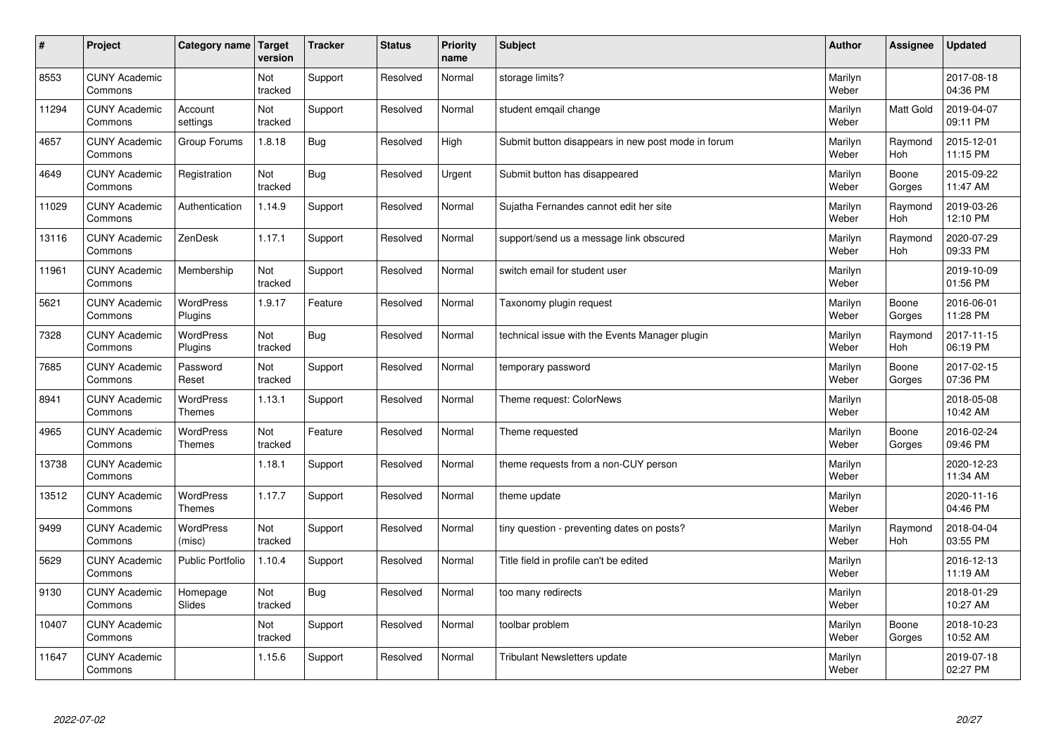| $\sharp$ | Project                         | Category name   Target            | version        | <b>Tracker</b> | <b>Status</b> | <b>Priority</b><br>name | <b>Subject</b>                                     | <b>Author</b>    | Assignee              | <b>Updated</b>         |
|----------|---------------------------------|-----------------------------------|----------------|----------------|---------------|-------------------------|----------------------------------------------------|------------------|-----------------------|------------------------|
| 8553     | <b>CUNY Academic</b><br>Commons |                                   | Not<br>tracked | Support        | Resolved      | Normal                  | storage limits?                                    | Marilyn<br>Weber |                       | 2017-08-18<br>04:36 PM |
| 11294    | <b>CUNY Academic</b><br>Commons | Account<br>settings               | Not<br>tracked | Support        | Resolved      | Normal                  | student emgail change                              | Marilyn<br>Weber | <b>Matt Gold</b>      | 2019-04-07<br>09:11 PM |
| 4657     | <b>CUNY Academic</b><br>Commons | Group Forums                      | 1.8.18         | Bug            | Resolved      | High                    | Submit button disappears in new post mode in forum | Marilyn<br>Weber | Raymond<br>Hoh        | 2015-12-01<br>11:15 PM |
| 4649     | <b>CUNY Academic</b><br>Commons | Registration                      | Not<br>tracked | Bug            | Resolved      | Urgent                  | Submit button has disappeared                      | Marilyn<br>Weber | Boone<br>Gorges       | 2015-09-22<br>11:47 AM |
| 11029    | <b>CUNY Academic</b><br>Commons | Authentication                    | 1.14.9         | Support        | Resolved      | Normal                  | Sujatha Fernandes cannot edit her site             | Marilyn<br>Weber | Raymond<br>Hoh        | 2019-03-26<br>12:10 PM |
| 13116    | <b>CUNY Academic</b><br>Commons | ZenDesk                           | 1.17.1         | Support        | Resolved      | Normal                  | support/send us a message link obscured            | Marilyn<br>Weber | Raymond<br>Hoh        | 2020-07-29<br>09:33 PM |
| 11961    | <b>CUNY Academic</b><br>Commons | Membership                        | Not<br>tracked | Support        | Resolved      | Normal                  | switch email for student user                      | Marilyn<br>Weber |                       | 2019-10-09<br>01:56 PM |
| 5621     | <b>CUNY Academic</b><br>Commons | WordPress<br>Plugins              | 1.9.17         | Feature        | Resolved      | Normal                  | Taxonomy plugin request                            | Marilyn<br>Weber | Boone<br>Gorges       | 2016-06-01<br>11:28 PM |
| 7328     | <b>CUNY Academic</b><br>Commons | WordPress<br>Plugins              | Not<br>tracked | Bug            | Resolved      | Normal                  | technical issue with the Events Manager plugin     | Marilyn<br>Weber | Raymond<br>Hoh        | 2017-11-15<br>06:19 PM |
| 7685     | <b>CUNY Academic</b><br>Commons | Password<br>Reset                 | Not<br>tracked | Support        | Resolved      | Normal                  | temporary password                                 | Marilyn<br>Weber | Boone<br>Gorges       | 2017-02-15<br>07:36 PM |
| 8941     | <b>CUNY Academic</b><br>Commons | <b>WordPress</b><br><b>Themes</b> | 1.13.1         | Support        | Resolved      | Normal                  | Theme request: ColorNews                           | Marilyn<br>Weber |                       | 2018-05-08<br>10:42 AM |
| 4965     | <b>CUNY Academic</b><br>Commons | <b>WordPress</b><br><b>Themes</b> | Not<br>tracked | Feature        | Resolved      | Normal                  | Theme requested                                    | Marilyn<br>Weber | Boone<br>Gorges       | 2016-02-24<br>09:46 PM |
| 13738    | <b>CUNY Academic</b><br>Commons |                                   | 1.18.1         | Support        | Resolved      | Normal                  | theme requests from a non-CUY person               | Marilyn<br>Weber |                       | 2020-12-23<br>11:34 AM |
| 13512    | <b>CUNY Academic</b><br>Commons | <b>WordPress</b><br><b>Themes</b> | 1.17.7         | Support        | Resolved      | Normal                  | theme update                                       | Marilyn<br>Weber |                       | 2020-11-16<br>04:46 PM |
| 9499     | <b>CUNY Academic</b><br>Commons | WordPress<br>(misc)               | Not<br>tracked | Support        | Resolved      | Normal                  | tiny question - preventing dates on posts?         | Marilyn<br>Weber | Raymond<br><b>Hoh</b> | 2018-04-04<br>03:55 PM |
| 5629     | <b>CUNY Academic</b><br>Commons | <b>Public Portfolio</b>           | 1.10.4         | Support        | Resolved      | Normal                  | Title field in profile can't be edited             | Marilyn<br>Weber |                       | 2016-12-13<br>11:19 AM |
| 9130     | <b>CUNY Academic</b><br>Commons | Homepage<br>Slides                | Not<br>tracked | Bug            | Resolved      | Normal                  | too many redirects                                 | Marilyn<br>Weber |                       | 2018-01-29<br>10:27 AM |
| 10407    | <b>CUNY Academic</b><br>Commons |                                   | Not<br>tracked | Support        | Resolved      | Normal                  | toolbar problem                                    | Marilyn<br>Weber | Boone<br>Gorges       | 2018-10-23<br>10:52 AM |
| 11647    | <b>CUNY Academic</b><br>Commons |                                   | 1.15.6         | Support        | Resolved      | Normal                  | Tribulant Newsletters update                       | Marilyn<br>Weber |                       | 2019-07-18<br>02:27 PM |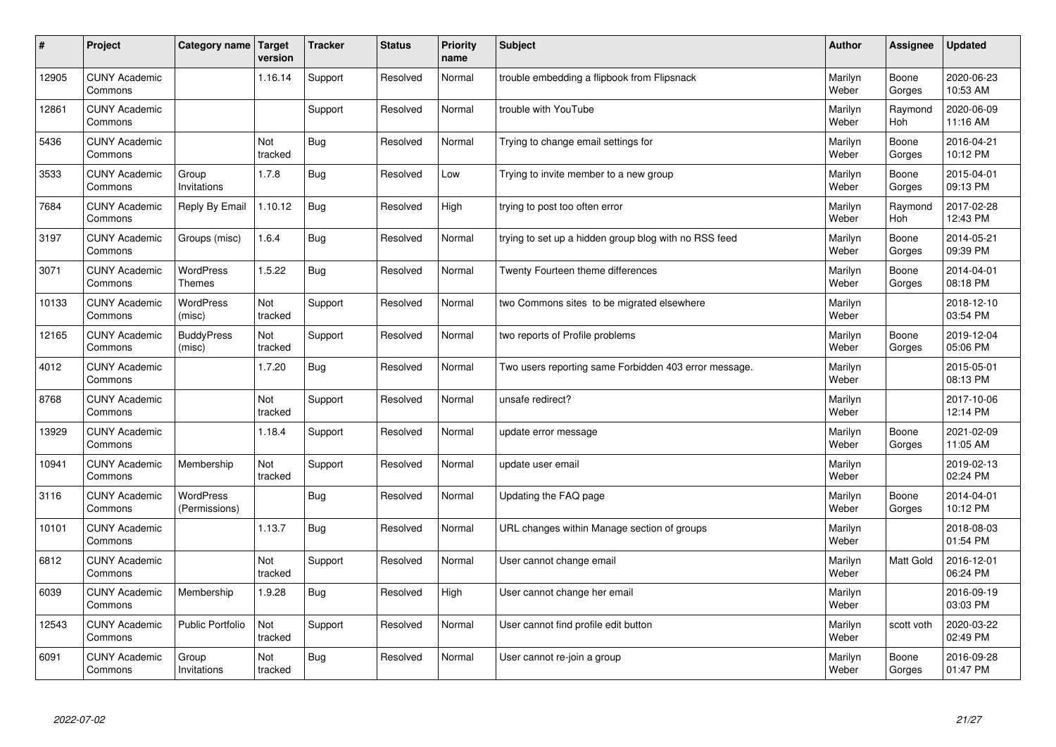| #     | Project                         | Category name   Target            | version        | <b>Tracker</b> | <b>Status</b> | <b>Priority</b><br>name | <b>Subject</b>                                        | <b>Author</b>    | Assignee              | <b>Updated</b>         |
|-------|---------------------------------|-----------------------------------|----------------|----------------|---------------|-------------------------|-------------------------------------------------------|------------------|-----------------------|------------------------|
| 12905 | <b>CUNY Academic</b><br>Commons |                                   | 1.16.14        | Support        | Resolved      | Normal                  | trouble embedding a flipbook from Flipsnack           | Marilyn<br>Weber | Boone<br>Gorges       | 2020-06-23<br>10:53 AM |
| 12861 | <b>CUNY Academic</b><br>Commons |                                   |                | Support        | Resolved      | Normal                  | trouble with YouTube                                  | Marilyn<br>Weber | Raymond<br><b>Hoh</b> | 2020-06-09<br>11:16 AM |
| 5436  | <b>CUNY Academic</b><br>Commons |                                   | Not<br>tracked | Bug            | Resolved      | Normal                  | Trying to change email settings for                   | Marilyn<br>Weber | Boone<br>Gorges       | 2016-04-21<br>10:12 PM |
| 3533  | <b>CUNY Academic</b><br>Commons | Group<br>Invitations              | 1.7.8          | <b>Bug</b>     | Resolved      | Low                     | Trying to invite member to a new group                | Marilyn<br>Weber | Boone<br>Gorges       | 2015-04-01<br>09:13 PM |
| 7684  | <b>CUNY Academic</b><br>Commons | Reply By Email                    | 1.10.12        | Bug            | Resolved      | High                    | trying to post too often error                        | Marilyn<br>Weber | Raymond<br><b>Hoh</b> | 2017-02-28<br>12:43 PM |
| 3197  | <b>CUNY Academic</b><br>Commons | Groups (misc)                     | 1.6.4          | Bug            | Resolved      | Normal                  | trying to set up a hidden group blog with no RSS feed | Marilyn<br>Weber | Boone<br>Gorges       | 2014-05-21<br>09:39 PM |
| 3071  | <b>CUNY Academic</b><br>Commons | <b>WordPress</b><br><b>Themes</b> | 1.5.22         | Bug            | Resolved      | Normal                  | Twenty Fourteen theme differences                     | Marilyn<br>Weber | Boone<br>Gorges       | 2014-04-01<br>08:18 PM |
| 10133 | <b>CUNY Academic</b><br>Commons | <b>WordPress</b><br>(misc)        | Not<br>tracked | Support        | Resolved      | Normal                  | two Commons sites to be migrated elsewhere            | Marilyn<br>Weber |                       | 2018-12-10<br>03:54 PM |
| 12165 | <b>CUNY Academic</b><br>Commons | <b>BuddyPress</b><br>(misc)       | Not<br>tracked | Support        | Resolved      | Normal                  | two reports of Profile problems                       | Marilyn<br>Weber | Boone<br>Gorges       | 2019-12-04<br>05:06 PM |
| 4012  | <b>CUNY Academic</b><br>Commons |                                   | 1.7.20         | Bug            | Resolved      | Normal                  | Two users reporting same Forbidden 403 error message. | Marilyn<br>Weber |                       | 2015-05-01<br>08:13 PM |
| 8768  | <b>CUNY Academic</b><br>Commons |                                   | Not<br>tracked | Support        | Resolved      | Normal                  | unsafe redirect?                                      | Marilyn<br>Weber |                       | 2017-10-06<br>12:14 PM |
| 13929 | <b>CUNY Academic</b><br>Commons |                                   | 1.18.4         | Support        | Resolved      | Normal                  | update error message                                  | Marilyn<br>Weber | Boone<br>Gorges       | 2021-02-09<br>11:05 AM |
| 10941 | <b>CUNY Academic</b><br>Commons | Membership                        | Not<br>tracked | Support        | Resolved      | Normal                  | update user email                                     | Marilyn<br>Weber |                       | 2019-02-13<br>02:24 PM |
| 3116  | <b>CUNY Academic</b><br>Commons | <b>WordPress</b><br>(Permissions) |                | <b>Bug</b>     | Resolved      | Normal                  | Updating the FAQ page                                 | Marilyn<br>Weber | Boone<br>Gorges       | 2014-04-01<br>10:12 PM |
| 10101 | <b>CUNY Academic</b><br>Commons |                                   | 1.13.7         | Bug            | Resolved      | Normal                  | URL changes within Manage section of groups           | Marilyn<br>Weber |                       | 2018-08-03<br>01:54 PM |
| 6812  | <b>CUNY Academic</b><br>Commons |                                   | Not<br>tracked | Support        | Resolved      | Normal                  | User cannot change email                              | Marilyn<br>Weber | <b>Matt Gold</b>      | 2016-12-01<br>06:24 PM |
| 6039  | <b>CUNY Academic</b><br>Commons | Membership                        | 1.9.28         | Bug            | Resolved      | High                    | User cannot change her email                          | Marilyn<br>Weber |                       | 2016-09-19<br>03:03 PM |
| 12543 | <b>CUNY Academic</b><br>Commons | <b>Public Portfolio</b>           | Not<br>tracked | Support        | Resolved      | Normal                  | User cannot find profile edit button                  | Marilyn<br>Weber | scott voth            | 2020-03-22<br>02:49 PM |
| 6091  | <b>CUNY Academic</b><br>Commons | Group<br>Invitations              | Not<br>tracked | Bug            | Resolved      | Normal                  | User cannot re-join a group                           | Marilyn<br>Weber | Boone<br>Gorges       | 2016-09-28<br>01:47 PM |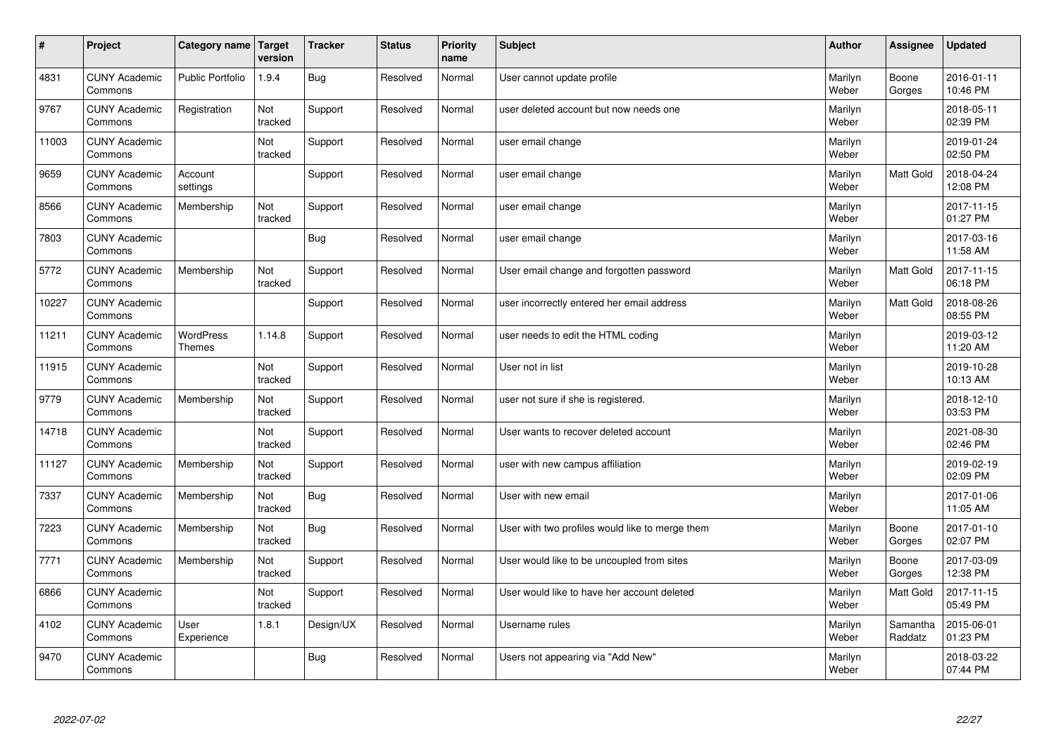| #     | Project                         | Category name Target              | version        | <b>Tracker</b> | <b>Status</b> | <b>Priority</b><br>name | <b>Subject</b>                                  | <b>Author</b>    | Assignee            | <b>Updated</b>         |
|-------|---------------------------------|-----------------------------------|----------------|----------------|---------------|-------------------------|-------------------------------------------------|------------------|---------------------|------------------------|
| 4831  | <b>CUNY Academic</b><br>Commons | <b>Public Portfolio</b>           | 1.9.4          | Bug            | Resolved      | Normal                  | User cannot update profile                      | Marilyn<br>Weber | Boone<br>Gorges     | 2016-01-11<br>10:46 PM |
| 9767  | <b>CUNY Academic</b><br>Commons | Registration                      | Not<br>tracked | Support        | Resolved      | Normal                  | user deleted account but now needs one          | Marilyn<br>Weber |                     | 2018-05-11<br>02:39 PM |
| 11003 | <b>CUNY Academic</b><br>Commons |                                   | Not<br>tracked | Support        | Resolved      | Normal                  | user email change                               | Marilyn<br>Weber |                     | 2019-01-24<br>02:50 PM |
| 9659  | <b>CUNY Academic</b><br>Commons | Account<br>settings               |                | Support        | Resolved      | Normal                  | user email change                               | Marilyn<br>Weber | Matt Gold           | 2018-04-24<br>12:08 PM |
| 8566  | <b>CUNY Academic</b><br>Commons | Membership                        | Not<br>tracked | Support        | Resolved      | Normal                  | user email change                               | Marilyn<br>Weber |                     | 2017-11-15<br>01:27 PM |
| 7803  | <b>CUNY Academic</b><br>Commons |                                   |                | Bug            | Resolved      | Normal                  | user email change                               | Marilyn<br>Weber |                     | 2017-03-16<br>11:58 AM |
| 5772  | <b>CUNY Academic</b><br>Commons | Membership                        | Not<br>tracked | Support        | Resolved      | Normal                  | User email change and forgotten password        | Marilyn<br>Weber | Matt Gold           | 2017-11-15<br>06:18 PM |
| 10227 | <b>CUNY Academic</b><br>Commons |                                   |                | Support        | Resolved      | Normal                  | user incorrectly entered her email address      | Marilyn<br>Weber | Matt Gold           | 2018-08-26<br>08:55 PM |
| 11211 | <b>CUNY Academic</b><br>Commons | <b>WordPress</b><br><b>Themes</b> | 1.14.8         | Support        | Resolved      | Normal                  | user needs to edit the HTML coding              | Marilyn<br>Weber |                     | 2019-03-12<br>11:20 AM |
| 11915 | <b>CUNY Academic</b><br>Commons |                                   | Not<br>tracked | Support        | Resolved      | Normal                  | User not in list                                | Marilyn<br>Weber |                     | 2019-10-28<br>10:13 AM |
| 9779  | <b>CUNY Academic</b><br>Commons | Membership                        | Not<br>tracked | Support        | Resolved      | Normal                  | user not sure if she is registered.             | Marilyn<br>Weber |                     | 2018-12-10<br>03:53 PM |
| 14718 | <b>CUNY Academic</b><br>Commons |                                   | Not<br>tracked | Support        | Resolved      | Normal                  | User wants to recover deleted account           | Marilyn<br>Weber |                     | 2021-08-30<br>02:46 PM |
| 11127 | <b>CUNY Academic</b><br>Commons | Membership                        | Not<br>tracked | Support        | Resolved      | Normal                  | user with new campus affiliation                | Marilyn<br>Weber |                     | 2019-02-19<br>02:09 PM |
| 7337  | <b>CUNY Academic</b><br>Commons | Membership                        | Not<br>tracked | Bug            | Resolved      | Normal                  | User with new email                             | Marilyn<br>Weber |                     | 2017-01-06<br>11:05 AM |
| 7223  | <b>CUNY Academic</b><br>Commons | Membership                        | Not<br>tracked | Bug            | Resolved      | Normal                  | User with two profiles would like to merge them | Marilyn<br>Weber | Boone<br>Gorges     | 2017-01-10<br>02:07 PM |
| 7771  | <b>CUNY Academic</b><br>Commons | Membership                        | Not<br>tracked | Support        | Resolved      | Normal                  | User would like to be uncoupled from sites      | Marilyn<br>Weber | Boone<br>Gorges     | 2017-03-09<br>12:38 PM |
| 6866  | <b>CUNY Academic</b><br>Commons |                                   | Not<br>tracked | Support        | Resolved      | Normal                  | User would like to have her account deleted     | Marilyn<br>Weber | Matt Gold           | 2017-11-15<br>05:49 PM |
| 4102  | <b>CUNY Academic</b><br>Commons | User<br>Experience                | 1.8.1          | Design/UX      | Resolved      | Normal                  | Username rules                                  | Marilyn<br>Weber | Samantha<br>Raddatz | 2015-06-01<br>01:23 PM |
| 9470  | <b>CUNY Academic</b><br>Commons |                                   |                | <b>Bug</b>     | Resolved      | Normal                  | Users not appearing via "Add New"               | Marilyn<br>Weber |                     | 2018-03-22<br>07:44 PM |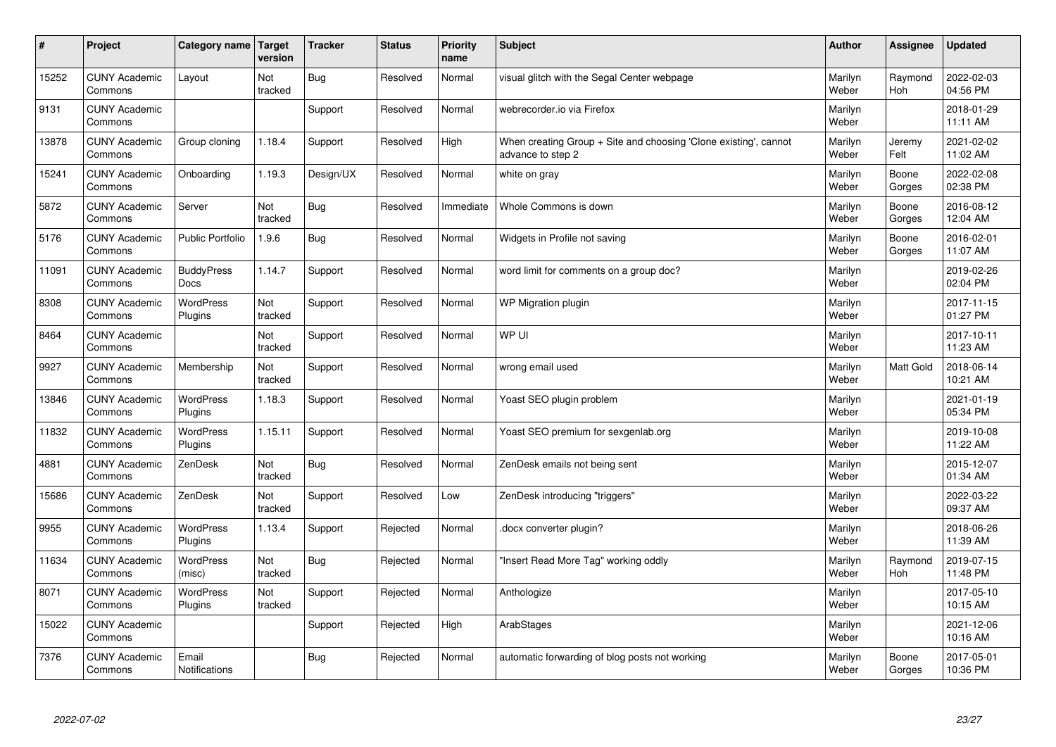| $\sharp$ | Project                         | Category name   Target           | version        | <b>Tracker</b> | <b>Status</b> | <b>Priority</b><br>name | <b>Subject</b>                                                                        | <b>Author</b>    | Assignee              | <b>Updated</b>         |
|----------|---------------------------------|----------------------------------|----------------|----------------|---------------|-------------------------|---------------------------------------------------------------------------------------|------------------|-----------------------|------------------------|
| 15252    | <b>CUNY Academic</b><br>Commons | Layout                           | Not<br>tracked | Bug            | Resolved      | Normal                  | visual glitch with the Segal Center webpage                                           | Marilyn<br>Weber | Raymond<br><b>Hoh</b> | 2022-02-03<br>04:56 PM |
| 9131     | <b>CUNY Academic</b><br>Commons |                                  |                | Support        | Resolved      | Normal                  | webrecorder.io via Firefox                                                            | Marilyn<br>Weber |                       | 2018-01-29<br>11:11 AM |
| 13878    | <b>CUNY Academic</b><br>Commons | Group cloning                    | 1.18.4         | Support        | Resolved      | High                    | When creating Group + Site and choosing 'Clone existing', cannot<br>advance to step 2 | Marilyn<br>Weber | Jeremy<br>Felt        | 2021-02-02<br>11:02 AM |
| 15241    | <b>CUNY Academic</b><br>Commons | Onboarding                       | 1.19.3         | Design/UX      | Resolved      | Normal                  | white on gray                                                                         | Marilyn<br>Weber | Boone<br>Gorges       | 2022-02-08<br>02:38 PM |
| 5872     | <b>CUNY Academic</b><br>Commons | Server                           | Not<br>tracked | <b>Bug</b>     | Resolved      | Immediate               | Whole Commons is down                                                                 | Marilyn<br>Weber | Boone<br>Gorges       | 2016-08-12<br>12:04 AM |
| 5176     | <b>CUNY Academic</b><br>Commons | Public Portfolio                 | 1.9.6          | Bug            | Resolved      | Normal                  | Widgets in Profile not saving                                                         | Marilyn<br>Weber | Boone<br>Gorges       | 2016-02-01<br>11:07 AM |
| 11091    | <b>CUNY Academic</b><br>Commons | <b>BuddyPress</b><br><b>Docs</b> | 1.14.7         | Support        | Resolved      | Normal                  | word limit for comments on a group doc?                                               | Marilyn<br>Weber |                       | 2019-02-26<br>02:04 PM |
| 8308     | <b>CUNY Academic</b><br>Commons | WordPress<br>Plugins             | Not<br>tracked | Support        | Resolved      | Normal                  | WP Migration plugin                                                                   | Marilyn<br>Weber |                       | 2017-11-15<br>01:27 PM |
| 8464     | <b>CUNY Academic</b><br>Commons |                                  | Not<br>tracked | Support        | Resolved      | Normal                  | WP UI                                                                                 | Marilyn<br>Weber |                       | 2017-10-11<br>11:23 AM |
| 9927     | <b>CUNY Academic</b><br>Commons | Membership                       | Not<br>tracked | Support        | Resolved      | Normal                  | wrong email used                                                                      | Marilyn<br>Weber | Matt Gold             | 2018-06-14<br>10:21 AM |
| 13846    | <b>CUNY Academic</b><br>Commons | <b>WordPress</b><br>Plugins      | 1.18.3         | Support        | Resolved      | Normal                  | Yoast SEO plugin problem                                                              | Marilyn<br>Weber |                       | 2021-01-19<br>05:34 PM |
| 11832    | <b>CUNY Academic</b><br>Commons | <b>WordPress</b><br>Plugins      | 1.15.11        | Support        | Resolved      | Normal                  | Yoast SEO premium for sexgenlab.org                                                   | Marilyn<br>Weber |                       | 2019-10-08<br>11:22 AM |
| 4881     | <b>CUNY Academic</b><br>Commons | ZenDesk                          | Not<br>tracked | <b>Bug</b>     | Resolved      | Normal                  | ZenDesk emails not being sent                                                         | Marilyn<br>Weber |                       | 2015-12-07<br>01:34 AM |
| 15686    | <b>CUNY Academic</b><br>Commons | ZenDesk                          | Not<br>tracked | Support        | Resolved      | Low                     | ZenDesk introducing "triggers"                                                        | Marilyn<br>Weber |                       | 2022-03-22<br>09:37 AM |
| 9955     | <b>CUNY Academic</b><br>Commons | WordPress<br>Plugins             | 1.13.4         | Support        | Rejected      | Normal                  | docx converter plugin?                                                                | Marilyn<br>Weber |                       | 2018-06-26<br>11:39 AM |
| 11634    | <b>CUNY Academic</b><br>Commons | WordPress<br>(misc)              | Not<br>tracked | <b>Bug</b>     | Rejected      | Normal                  | 'Insert Read More Tag" working oddly                                                  | Marilyn<br>Weber | Raymond<br>Hoh        | 2019-07-15<br>11:48 PM |
| 8071     | <b>CUNY Academic</b><br>Commons | WordPress<br>Plugins             | Not<br>tracked | Support        | Rejected      | Normal                  | Anthologize                                                                           | Marilyn<br>Weber |                       | 2017-05-10<br>10:15 AM |
| 15022    | <b>CUNY Academic</b><br>Commons |                                  |                | Support        | Rejected      | High                    | ArabStages                                                                            | Marilyn<br>Weber |                       | 2021-12-06<br>10:16 AM |
| 7376     | <b>CUNY Academic</b><br>Commons | Email<br>Notifications           |                | <b>Bug</b>     | Rejected      | Normal                  | automatic forwarding of blog posts not working                                        | Marilyn<br>Weber | Boone<br>Gorges       | 2017-05-01<br>10:36 PM |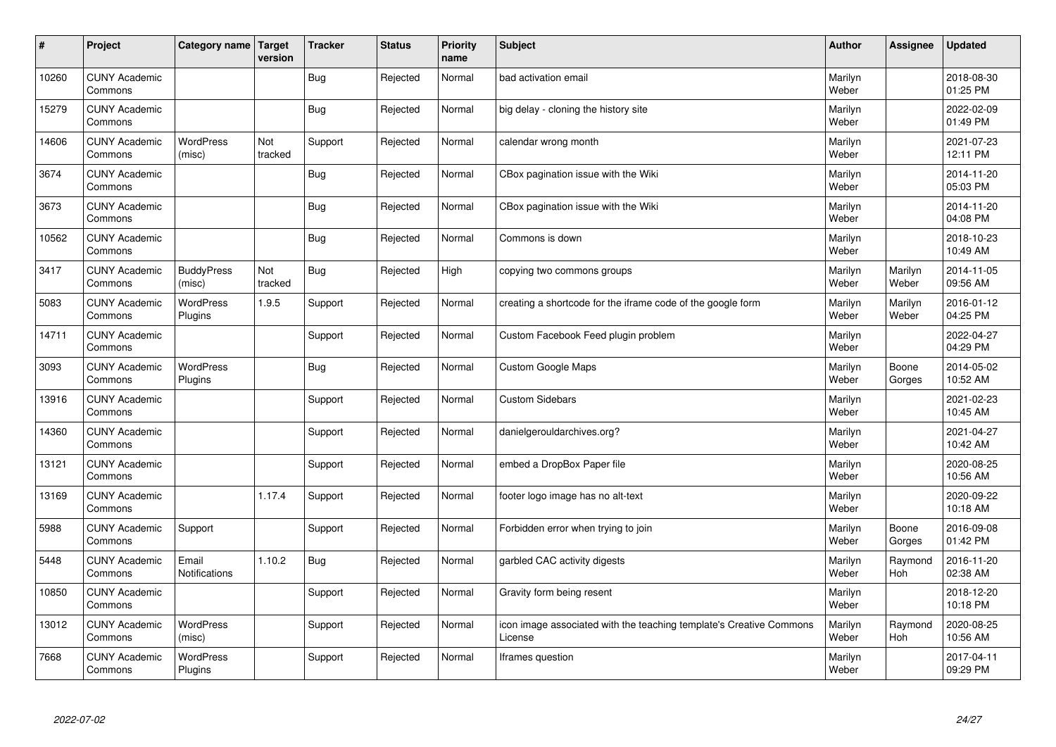| #     | Project                         | Category name   Target        | version        | <b>Tracker</b> | <b>Status</b> | <b>Priority</b><br>name | <b>Subject</b>                                                                 | <b>Author</b>    | Assignee              | <b>Updated</b>         |
|-------|---------------------------------|-------------------------------|----------------|----------------|---------------|-------------------------|--------------------------------------------------------------------------------|------------------|-----------------------|------------------------|
| 10260 | <b>CUNY Academic</b><br>Commons |                               |                | <b>Bug</b>     | Rejected      | Normal                  | bad activation email                                                           | Marilyn<br>Weber |                       | 2018-08-30<br>01:25 PM |
| 15279 | <b>CUNY Academic</b><br>Commons |                               |                | <b>Bug</b>     | Rejected      | Normal                  | big delay - cloning the history site                                           | Marilyn<br>Weber |                       | 2022-02-09<br>01:49 PM |
| 14606 | <b>CUNY Academic</b><br>Commons | <b>WordPress</b><br>(misc)    | Not<br>tracked | Support        | Rejected      | Normal                  | calendar wrong month                                                           | Marilyn<br>Weber |                       | 2021-07-23<br>12:11 PM |
| 3674  | <b>CUNY Academic</b><br>Commons |                               |                | <b>Bug</b>     | Rejected      | Normal                  | CBox pagination issue with the Wiki                                            | Marilyn<br>Weber |                       | 2014-11-20<br>05:03 PM |
| 3673  | <b>CUNY Academic</b><br>Commons |                               |                | Bug            | Rejected      | Normal                  | CBox pagination issue with the Wiki                                            | Marilyn<br>Weber |                       | 2014-11-20<br>04:08 PM |
| 10562 | <b>CUNY Academic</b><br>Commons |                               |                | Bug            | Rejected      | Normal                  | Commons is down                                                                | Marilyn<br>Weber |                       | 2018-10-23<br>10:49 AM |
| 3417  | <b>CUNY Academic</b><br>Commons | <b>BuddyPress</b><br>(misc)   | Not<br>tracked | <b>Bug</b>     | Rejected      | High                    | copying two commons groups                                                     | Marilyn<br>Weber | Marilyn<br>Weber      | 2014-11-05<br>09:56 AM |
| 5083  | <b>CUNY Academic</b><br>Commons | WordPress<br>Plugins          | 1.9.5          | Support        | Rejected      | Normal                  | creating a shortcode for the iframe code of the google form                    | Marilyn<br>Weber | Marilyn<br>Weber      | 2016-01-12<br>04:25 PM |
| 14711 | <b>CUNY Academic</b><br>Commons |                               |                | Support        | Rejected      | Normal                  | Custom Facebook Feed plugin problem                                            | Marilyn<br>Weber |                       | 2022-04-27<br>04:29 PM |
| 3093  | <b>CUNY Academic</b><br>Commons | WordPress<br>Plugins          |                | <b>Bug</b>     | Rejected      | Normal                  | <b>Custom Google Maps</b>                                                      | Marilyn<br>Weber | Boone<br>Gorges       | 2014-05-02<br>10:52 AM |
| 13916 | <b>CUNY Academic</b><br>Commons |                               |                | Support        | Rejected      | Normal                  | <b>Custom Sidebars</b>                                                         | Marilyn<br>Weber |                       | 2021-02-23<br>10:45 AM |
| 14360 | <b>CUNY Academic</b><br>Commons |                               |                | Support        | Rejected      | Normal                  | danielgerouldarchives.org?                                                     | Marilyn<br>Weber |                       | 2021-04-27<br>10:42 AM |
| 13121 | <b>CUNY Academic</b><br>Commons |                               |                | Support        | Rejected      | Normal                  | embed a DropBox Paper file                                                     | Marilyn<br>Weber |                       | 2020-08-25<br>10:56 AM |
| 13169 | <b>CUNY Academic</b><br>Commons |                               | 1.17.4         | Support        | Rejected      | Normal                  | footer logo image has no alt-text                                              | Marilyn<br>Weber |                       | 2020-09-22<br>10:18 AM |
| 5988  | <b>CUNY Academic</b><br>Commons | Support                       |                | Support        | Rejected      | Normal                  | Forbidden error when trying to join                                            | Marilyn<br>Weber | Boone<br>Gorges       | 2016-09-08<br>01:42 PM |
| 5448  | <b>CUNY Academic</b><br>Commons | Email<br><b>Notifications</b> | 1.10.2         | <b>Bug</b>     | Rejected      | Normal                  | garbled CAC activity digests                                                   | Marilyn<br>Weber | Raymond<br><b>Hoh</b> | 2016-11-20<br>02:38 AM |
| 10850 | <b>CUNY Academic</b><br>Commons |                               |                | Support        | Rejected      | Normal                  | Gravity form being resent                                                      | Marilyn<br>Weber |                       | 2018-12-20<br>10:18 PM |
| 13012 | <b>CUNY Academic</b><br>Commons | <b>WordPress</b><br>(misc)    |                | Support        | Rejected      | Normal                  | icon image associated with the teaching template's Creative Commons<br>License | Marilyn<br>Weber | Raymond<br><b>Hoh</b> | 2020-08-25<br>10:56 AM |
| 7668  | <b>CUNY Academic</b><br>Commons | <b>WordPress</b><br>Plugins   |                | Support        | Rejected      | Normal                  | Iframes question                                                               | Marilyn<br>Weber |                       | 2017-04-11<br>09:29 PM |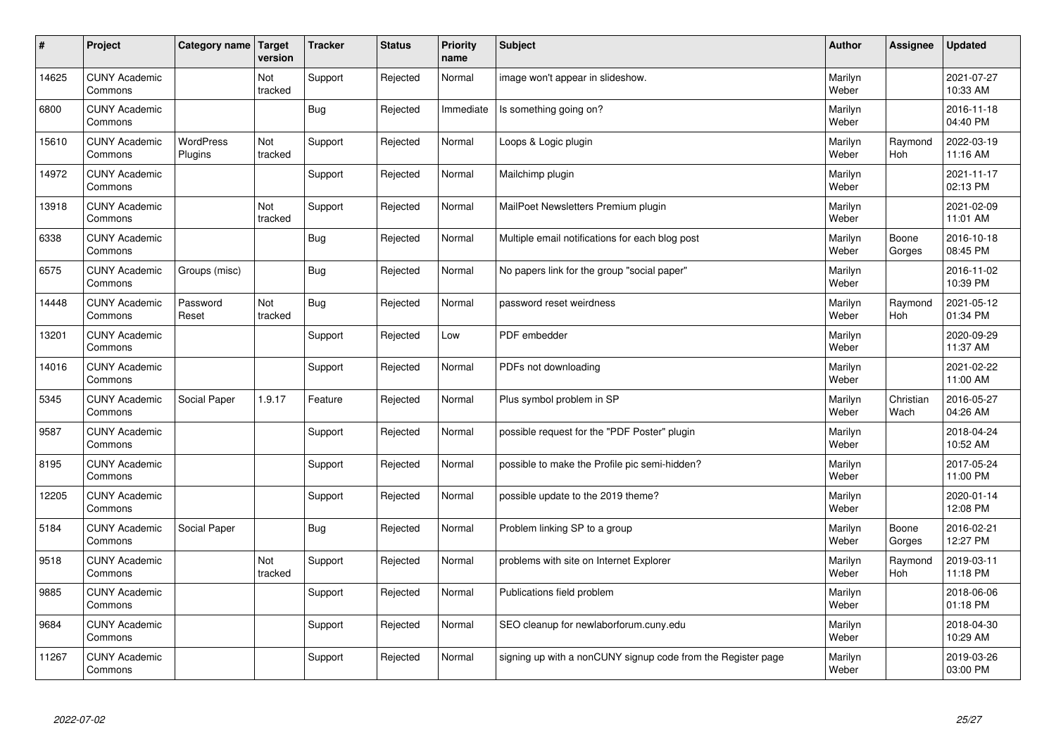| $\sharp$ | Project                         | Category name   Target      | version        | <b>Tracker</b> | <b>Status</b> | <b>Priority</b><br>name | <b>Subject</b>                                               | <b>Author</b>    | <b>Assignee</b>   | <b>Updated</b>         |
|----------|---------------------------------|-----------------------------|----------------|----------------|---------------|-------------------------|--------------------------------------------------------------|------------------|-------------------|------------------------|
| 14625    | <b>CUNY Academic</b><br>Commons |                             | Not<br>tracked | Support        | Rejected      | Normal                  | image won't appear in slideshow.                             | Marilyn<br>Weber |                   | 2021-07-27<br>10:33 AM |
| 6800     | <b>CUNY Academic</b><br>Commons |                             |                | Bug            | Rejected      | Immediate               | Is something going on?                                       | Marilyn<br>Weber |                   | 2016-11-18<br>04:40 PM |
| 15610    | <b>CUNY Academic</b><br>Commons | <b>WordPress</b><br>Plugins | Not<br>tracked | Support        | Rejected      | Normal                  | Loops & Logic plugin                                         | Marilyn<br>Weber | Raymond<br>Hoh    | 2022-03-19<br>11:16 AM |
| 14972    | <b>CUNY Academic</b><br>Commons |                             |                | Support        | Rejected      | Normal                  | Mailchimp plugin                                             | Marilyn<br>Weber |                   | 2021-11-17<br>02:13 PM |
| 13918    | <b>CUNY Academic</b><br>Commons |                             | Not<br>tracked | Support        | Rejected      | Normal                  | MailPoet Newsletters Premium plugin                          | Marilyn<br>Weber |                   | 2021-02-09<br>11:01 AM |
| 6338     | <b>CUNY Academic</b><br>Commons |                             |                | <b>Bug</b>     | Rejected      | Normal                  | Multiple email notifications for each blog post              | Marilyn<br>Weber | Boone<br>Gorges   | 2016-10-18<br>08:45 PM |
| 6575     | <b>CUNY Academic</b><br>Commons | Groups (misc)               |                | Bug            | Rejected      | Normal                  | No papers link for the group "social paper"                  | Marilyn<br>Weber |                   | 2016-11-02<br>10:39 PM |
| 14448    | <b>CUNY Academic</b><br>Commons | Password<br>Reset           | Not<br>tracked | <b>Bug</b>     | Rejected      | Normal                  | password reset weirdness                                     | Marilyn<br>Weber | Raymond<br>Hoh    | 2021-05-12<br>01:34 PM |
| 13201    | <b>CUNY Academic</b><br>Commons |                             |                | Support        | Rejected      | Low                     | PDF embedder                                                 | Marilyn<br>Weber |                   | 2020-09-29<br>11:37 AM |
| 14016    | <b>CUNY Academic</b><br>Commons |                             |                | Support        | Rejected      | Normal                  | PDFs not downloading                                         | Marilyn<br>Weber |                   | 2021-02-22<br>11:00 AM |
| 5345     | <b>CUNY Academic</b><br>Commons | Social Paper                | 1.9.17         | Feature        | Rejected      | Normal                  | Plus symbol problem in SP                                    | Marilyn<br>Weber | Christian<br>Wach | 2016-05-27<br>04:26 AM |
| 9587     | <b>CUNY Academic</b><br>Commons |                             |                | Support        | Rejected      | Normal                  | possible request for the "PDF Poster" plugin                 | Marilyn<br>Weber |                   | 2018-04-24<br>10:52 AM |
| 8195     | <b>CUNY Academic</b><br>Commons |                             |                | Support        | Rejected      | Normal                  | possible to make the Profile pic semi-hidden?                | Marilyn<br>Weber |                   | 2017-05-24<br>11:00 PM |
| 12205    | <b>CUNY Academic</b><br>Commons |                             |                | Support        | Rejected      | Normal                  | possible update to the 2019 theme?                           | Marilyn<br>Weber |                   | 2020-01-14<br>12:08 PM |
| 5184     | <b>CUNY Academic</b><br>Commons | Social Paper                |                | <b>Bug</b>     | Rejected      | Normal                  | Problem linking SP to a group                                | Marilyn<br>Weber | Boone<br>Gorges   | 2016-02-21<br>12:27 PM |
| 9518     | <b>CUNY Academic</b><br>Commons |                             | Not<br>tracked | Support        | Rejected      | Normal                  | problems with site on Internet Explorer                      | Marilyn<br>Weber | Raymond<br>Hoh    | 2019-03-11<br>11:18 PM |
| 9885     | <b>CUNY Academic</b><br>Commons |                             |                | Support        | Rejected      | Normal                  | Publications field problem                                   | Marilyn<br>Weber |                   | 2018-06-06<br>01:18 PM |
| 9684     | <b>CUNY Academic</b><br>Commons |                             |                | Support        | Rejected      | Normal                  | SEO cleanup for newlaborforum.cuny.edu                       | Marilyn<br>Weber |                   | 2018-04-30<br>10:29 AM |
| 11267    | <b>CUNY Academic</b><br>Commons |                             |                | Support        | Rejected      | Normal                  | signing up with a nonCUNY signup code from the Register page | Marilyn<br>Weber |                   | 2019-03-26<br>03:00 PM |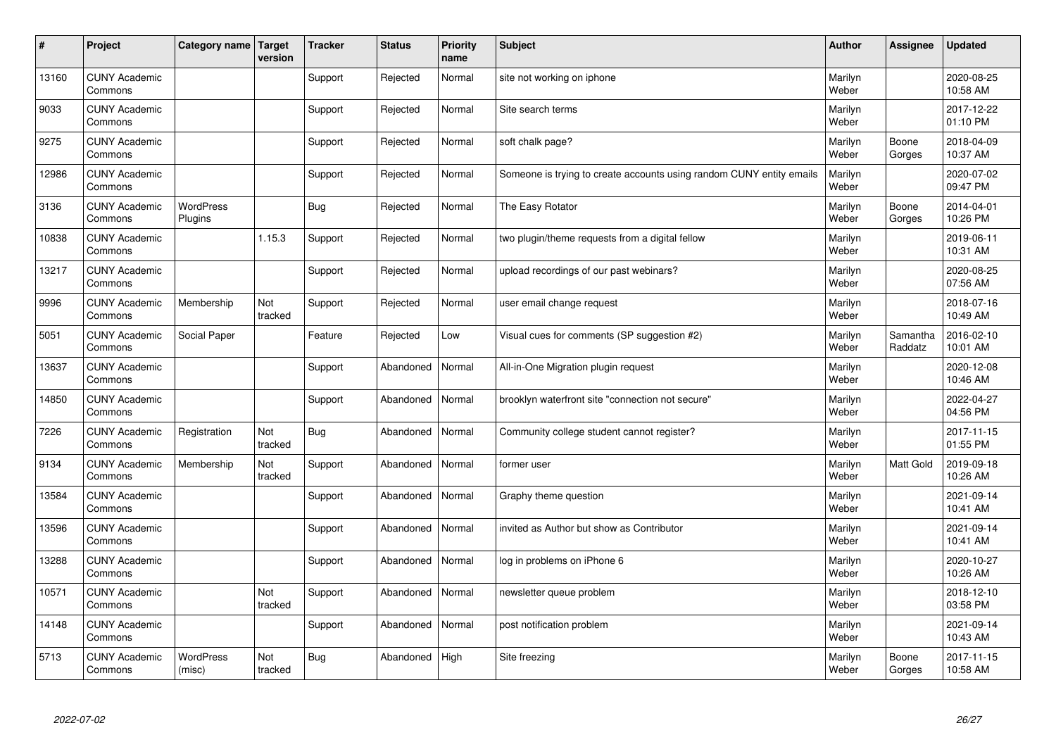| #     | Project                         | Category name   Target      | version        | <b>Tracker</b> | <b>Status</b> | <b>Priority</b><br>name | <b>Subject</b>                                                       | <b>Author</b>    | Assignee            | <b>Updated</b>         |
|-------|---------------------------------|-----------------------------|----------------|----------------|---------------|-------------------------|----------------------------------------------------------------------|------------------|---------------------|------------------------|
| 13160 | <b>CUNY Academic</b><br>Commons |                             |                | Support        | Rejected      | Normal                  | site not working on iphone                                           | Marilyn<br>Weber |                     | 2020-08-25<br>10:58 AM |
| 9033  | <b>CUNY Academic</b><br>Commons |                             |                | Support        | Rejected      | Normal                  | Site search terms                                                    | Marilyn<br>Weber |                     | 2017-12-22<br>01:10 PM |
| 9275  | <b>CUNY Academic</b><br>Commons |                             |                | Support        | Rejected      | Normal                  | soft chalk page?                                                     | Marilyn<br>Weber | Boone<br>Gorges     | 2018-04-09<br>10:37 AM |
| 12986 | <b>CUNY Academic</b><br>Commons |                             |                | Support        | Rejected      | Normal                  | Someone is trying to create accounts using random CUNY entity emails | Marilyn<br>Weber |                     | 2020-07-02<br>09:47 PM |
| 3136  | <b>CUNY Academic</b><br>Commons | <b>WordPress</b><br>Plugins |                | <b>Bug</b>     | Rejected      | Normal                  | The Easy Rotator                                                     | Marilyn<br>Weber | Boone<br>Gorges     | 2014-04-01<br>10:26 PM |
| 10838 | <b>CUNY Academic</b><br>Commons |                             | 1.15.3         | Support        | Rejected      | Normal                  | two plugin/theme requests from a digital fellow                      | Marilyn<br>Weber |                     | 2019-06-11<br>10:31 AM |
| 13217 | <b>CUNY Academic</b><br>Commons |                             |                | Support        | Rejected      | Normal                  | upload recordings of our past webinars?                              | Marilyn<br>Weber |                     | 2020-08-25<br>07:56 AM |
| 9996  | <b>CUNY Academic</b><br>Commons | Membership                  | Not<br>tracked | Support        | Rejected      | Normal                  | user email change request                                            | Marilyn<br>Weber |                     | 2018-07-16<br>10:49 AM |
| 5051  | <b>CUNY Academic</b><br>Commons | Social Paper                |                | Feature        | Rejected      | Low                     | Visual cues for comments (SP suggestion #2)                          | Marilyn<br>Weber | Samantha<br>Raddatz | 2016-02-10<br>10:01 AM |
| 13637 | <b>CUNY Academic</b><br>Commons |                             |                | Support        | Abandoned     | Normal                  | All-in-One Migration plugin request                                  | Marilyn<br>Weber |                     | 2020-12-08<br>10:46 AM |
| 14850 | <b>CUNY Academic</b><br>Commons |                             |                | Support        | Abandoned     | Normal                  | brooklyn waterfront site "connection not secure"                     | Marilyn<br>Weber |                     | 2022-04-27<br>04:56 PM |
| 7226  | <b>CUNY Academic</b><br>Commons | Registration                | Not<br>tracked | <b>Bug</b>     | Abandoned     | Normal                  | Community college student cannot register?                           | Marilyn<br>Weber |                     | 2017-11-15<br>01:55 PM |
| 9134  | <b>CUNY Academic</b><br>Commons | Membership                  | Not<br>tracked | Support        | Abandoned     | Normal                  | former user                                                          | Marilyn<br>Weber | <b>Matt Gold</b>    | 2019-09-18<br>10:26 AM |
| 13584 | <b>CUNY Academic</b><br>Commons |                             |                | Support        | Abandoned     | Normal                  | Graphy theme question                                                | Marilyn<br>Weber |                     | 2021-09-14<br>10:41 AM |
| 13596 | <b>CUNY Academic</b><br>Commons |                             |                | Support        | Abandoned     | Normal                  | invited as Author but show as Contributor                            | Marilyn<br>Weber |                     | 2021-09-14<br>10:41 AM |
| 13288 | <b>CUNY Academic</b><br>Commons |                             |                | Support        | Abandoned     | Normal                  | log in problems on iPhone 6                                          | Marilyn<br>Weber |                     | 2020-10-27<br>10:26 AM |
| 10571 | <b>CUNY Academic</b><br>Commons |                             | Not<br>tracked | Support        | Abandoned     | Normal                  | newsletter queue problem                                             | Marilyn<br>Weber |                     | 2018-12-10<br>03:58 PM |
| 14148 | <b>CUNY Academic</b><br>Commons |                             |                | Support        | Abandoned     | Normal                  | post notification problem                                            | Marilyn<br>Weber |                     | 2021-09-14<br>10:43 AM |
| 5713  | <b>CUNY Academic</b><br>Commons | <b>WordPress</b><br>(misc)  | Not<br>tracked | Bug            | Abandoned     | High                    | Site freezing                                                        | Marilyn<br>Weber | Boone<br>Gorges     | 2017-11-15<br>10:58 AM |